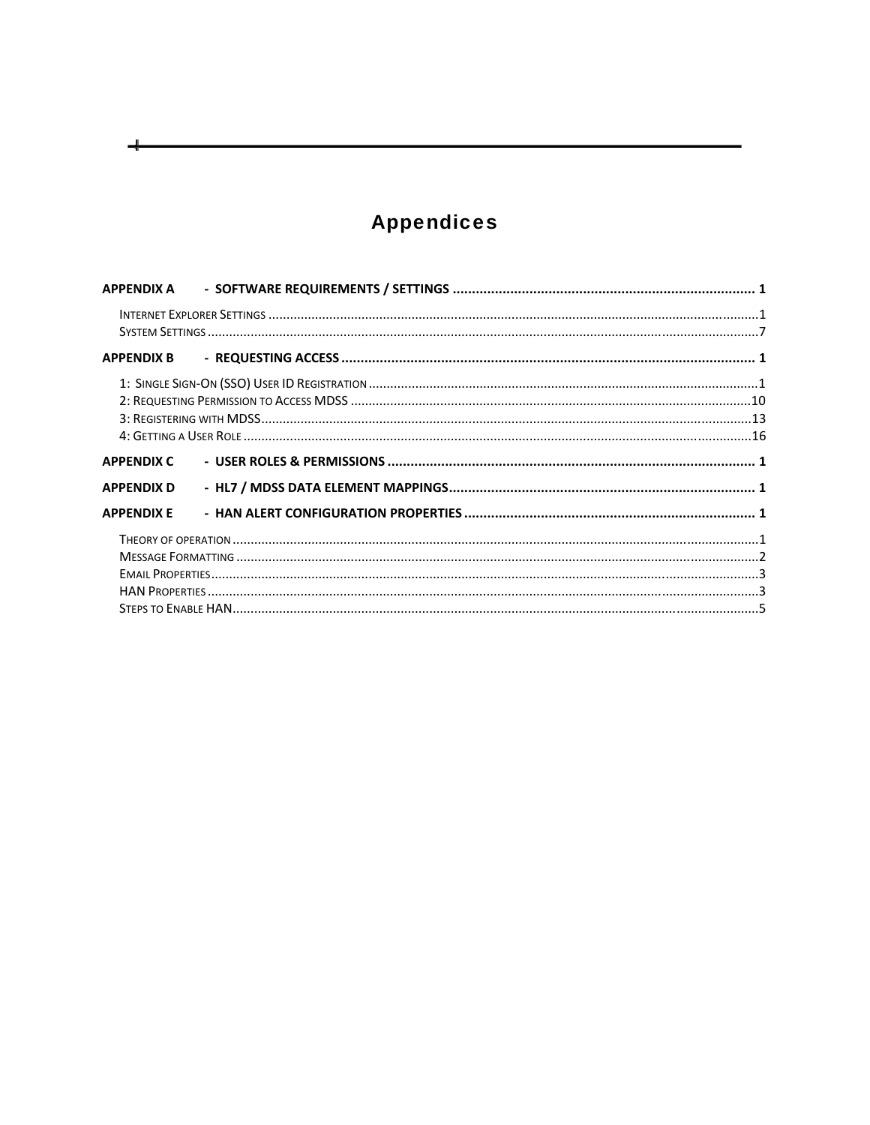# **Appendices**

ᆛ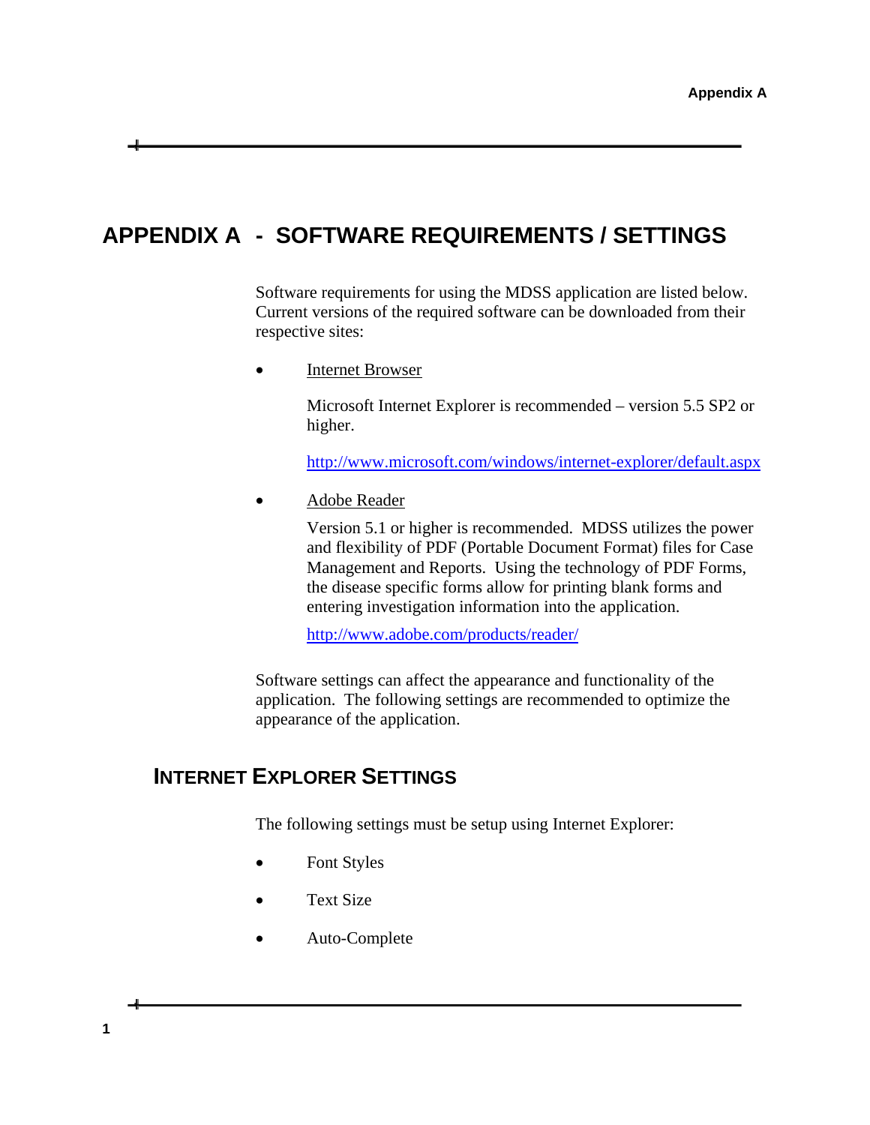# <span id="page-2-0"></span>**APPENDIX A - SOFTWARE REQUIREMENTS / SETTINGS**

Software requirements for using the MDSS application are listed below. Current versions of the required software can be downloaded from their respective sites:

• Internet Browser

Microsoft Internet Explorer is recommended – version 5.5 SP2 or higher.

<http://www.microsoft.com/windows/internet-explorer/default.aspx>

Adobe Reader

Version 5.1 or higher is recommended. MDSS utilizes the power and flexibility of PDF (Portable Document Format) files for Case Management and Reports. Using the technology of PDF Forms, the disease specific forms allow for printing blank forms and entering investigation information into the application.

<http://www.adobe.com/products/reader/>

Software settings can affect the appearance and functionality of the application. The following settings are recommended to optimize the appearance of the application.

## <span id="page-2-1"></span> **INTERNET EXPLORER SETTINGS**

The following settings must be setup using Internet Explorer:

- Font Styles
- Text Size
- Auto-Complete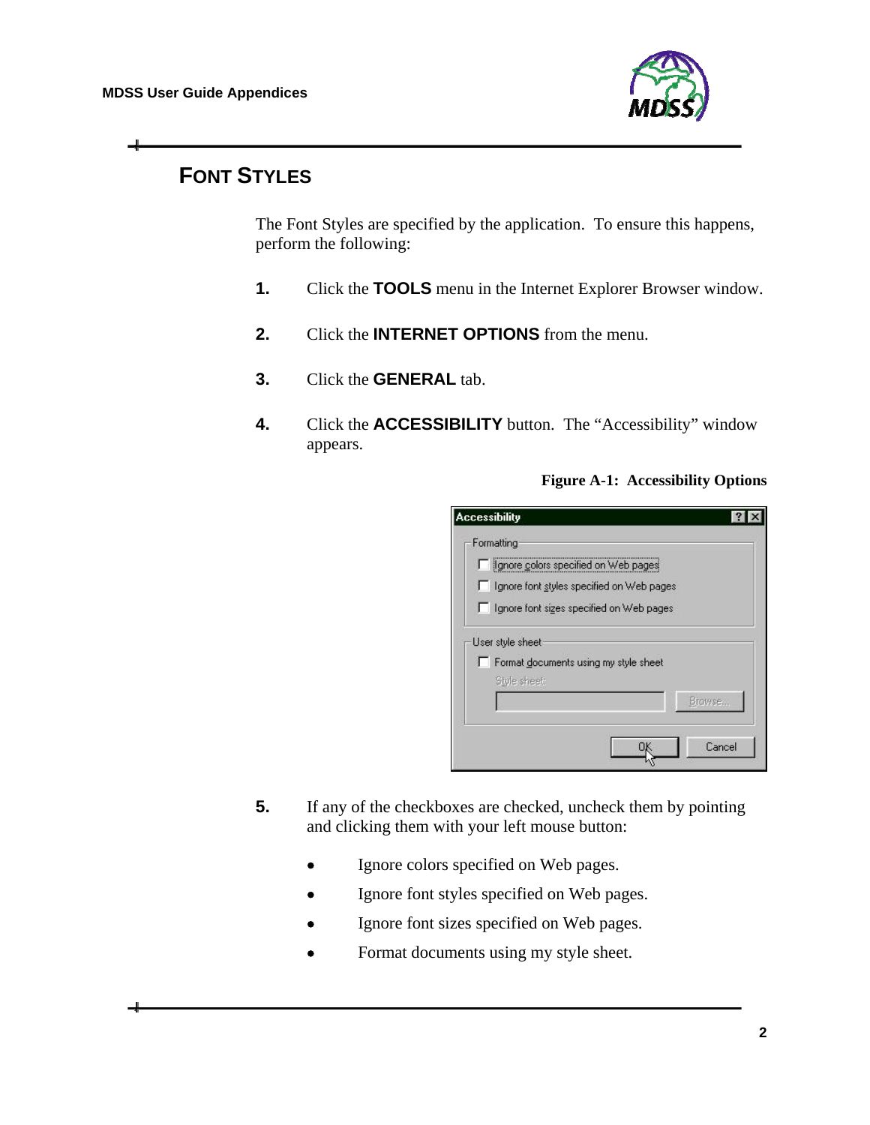

## **FONT STYLES**

The Font Styles are specified by the application. To ensure this happens, perform the following:

- **1.** Click the **TOOLS** menu in the Internet Explorer Browser window.
- **2.** Click the **INTERNET OPTIONS** from the menu.
- **3.** Click the **GENERAL** tab.
- **4.** Click the **ACCESSIBILITY** button. The "Accessibility" window appears.

**Figure A-1: Accessibility Options** 

| Formatting |                                           |
|------------|-------------------------------------------|
|            | Ignore colors specified on Web pages      |
|            | Ignore font styles specified on Web pages |
|            | Ignore font sizes specified on Web pages  |
|            | User style sheet                          |
|            | Format documents using my style sheet     |
|            | Style sheet:<br>Browse                    |
|            | Cancel                                    |

- **5.** If any of the checkboxes are checked, uncheck them by pointing and clicking them with your left mouse button:
	- Ignore colors specified on Web pages.
	- Ignore font styles specified on Web pages.
	- Ignore font sizes specified on Web pages.
	- Format documents using my style sheet.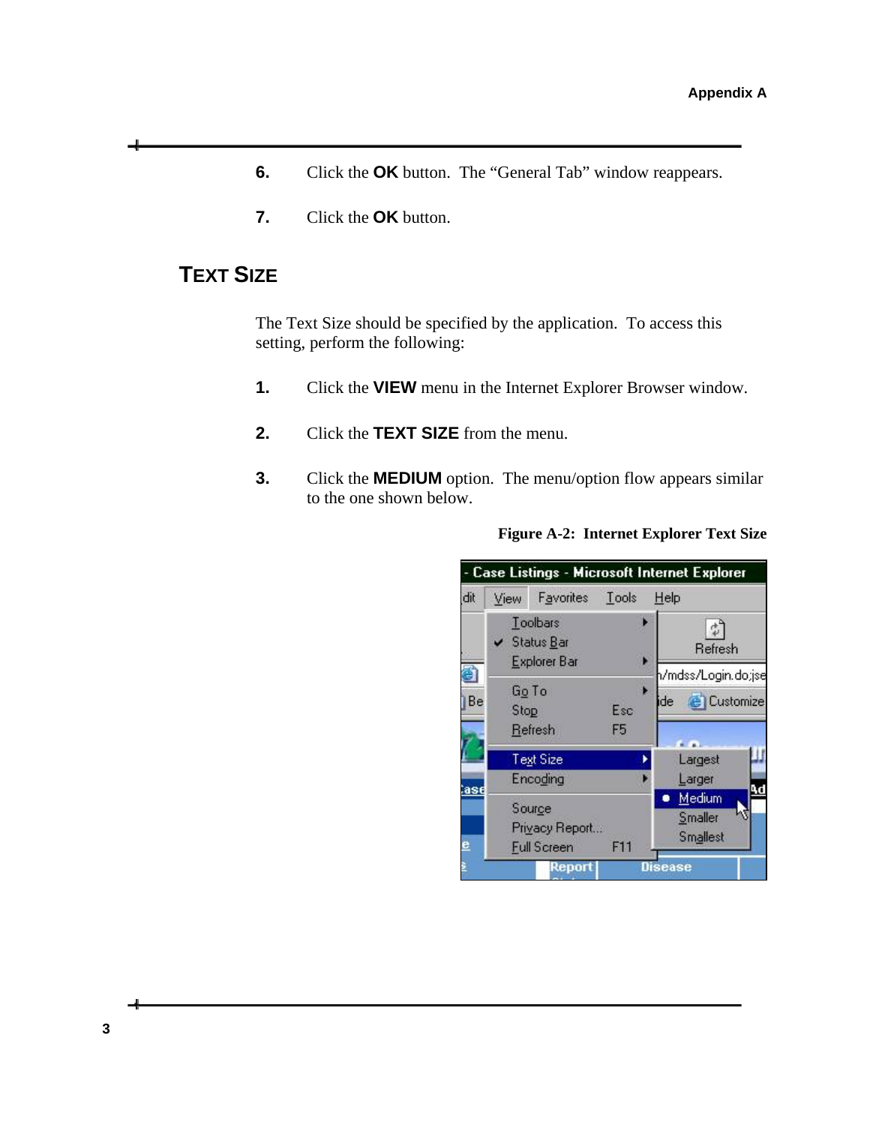- **6.** Click the **OK** button. The "General Tab" window reappears.
- **7.** Click the **OK** button.

### **TEXT SIZE**

The Text Size should be specified by the application. To access this setting, perform the following:

- **1.** Click the **VIEW** menu in the Internet Explorer Browser window.
- **2.** Click the **TEXT SIZE** from the menu.
- **3.** Click the **MEDIUM** option. The menu/option flow appears similar to the one shown below.



#### **Figure A-2: Internet Explorer Text Size**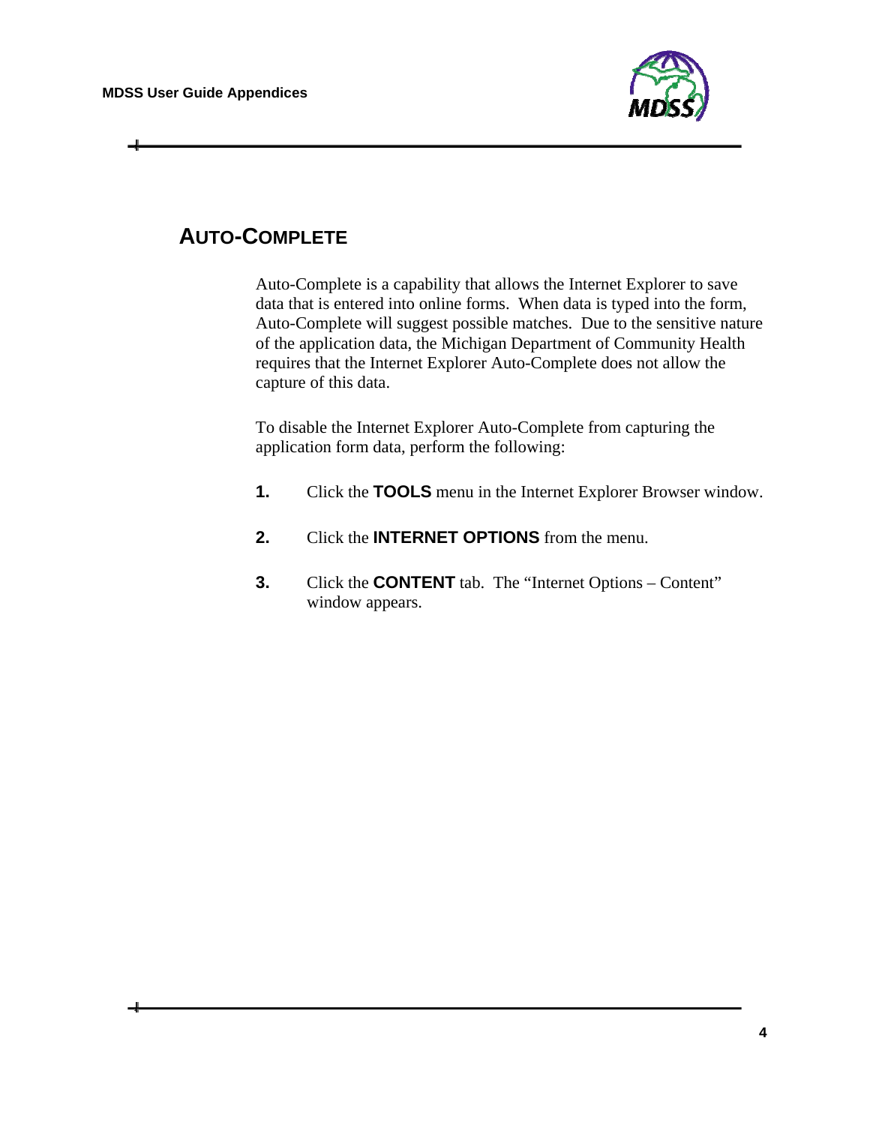

## **AUTO-COMPLETE**

Auto-Complete is a capability that allows the Internet Explorer to save data that is entered into online forms. When data is typed into the form, Auto-Complete will suggest possible matches. Due to the sensitive nature of the application data, the Michigan Department of Community Health requires that the Internet Explorer Auto-Complete does not allow the capture of this data.

To disable the Internet Explorer Auto-Complete from capturing the application form data, perform the following:

- **1.** Click the **TOOLS** menu in the Internet Explorer Browser window.
- **2.** Click the **INTERNET OPTIONS** from the menu.
- **3.** Click the **CONTENT** tab. The "Internet Options Content" window appears.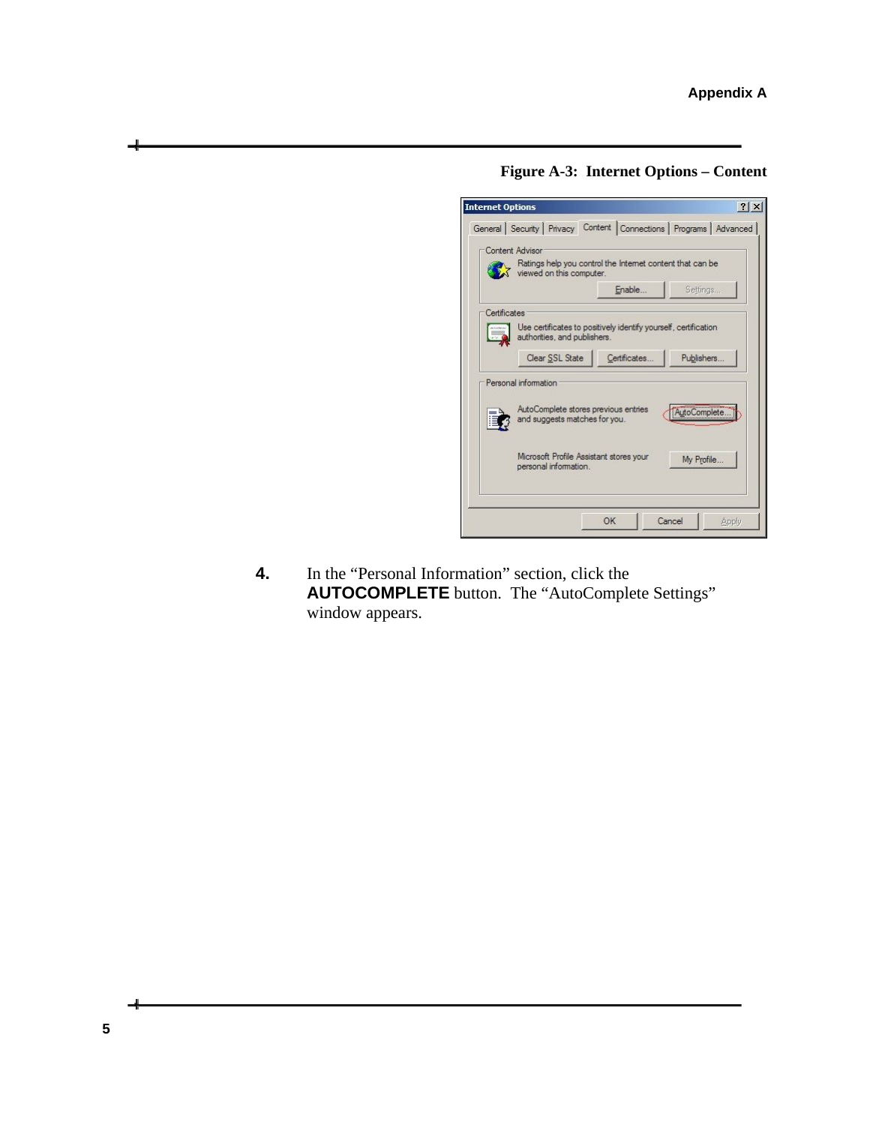**Figure A-3: Internet Options – Content** 



**4.** In the "Personal Information" section, click the **AUTOCOMPLETE** button. The "AutoComplete Settings" window appears.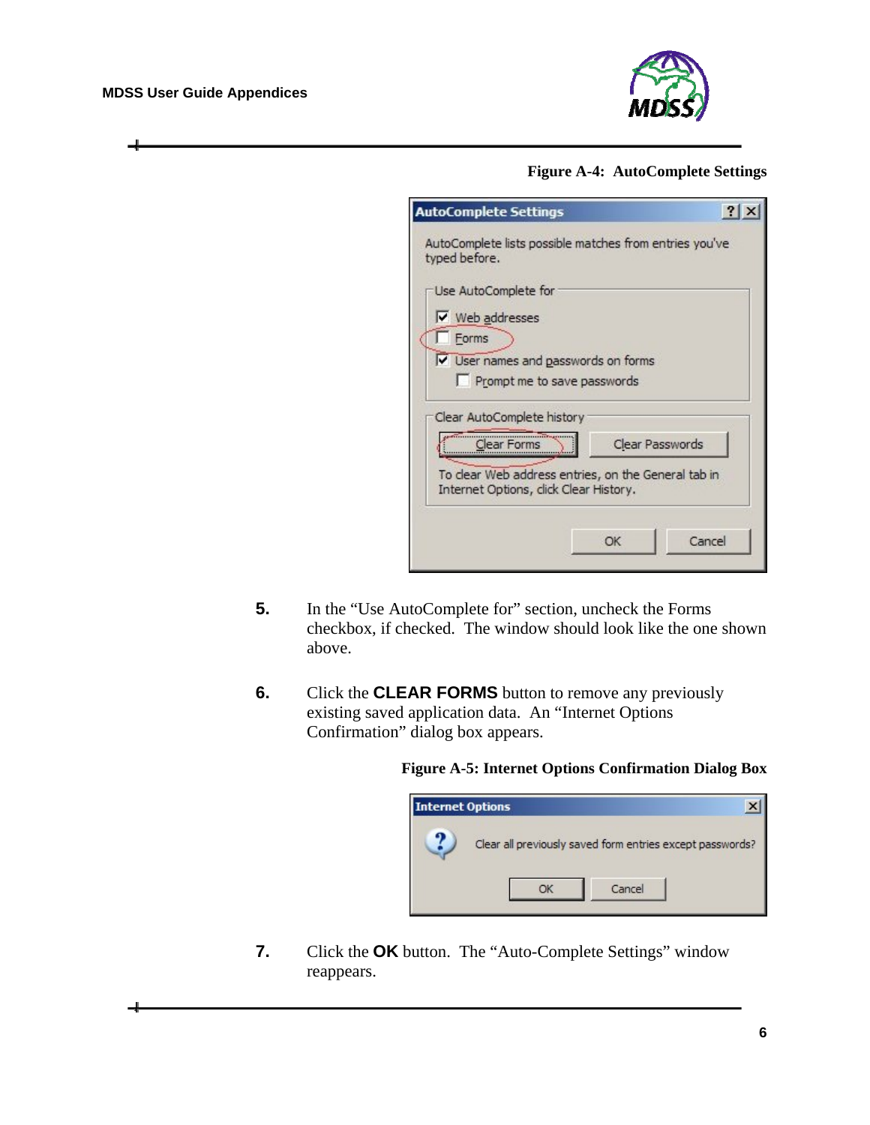#### **MDSS User Guide Appendices**



#### **Figure A-4: AutoComplete Settings**

| <b>AutoComplete Settings</b>                                                                  |                 |
|-----------------------------------------------------------------------------------------------|-----------------|
| AutoComplete lists possible matches from entries you've<br>typed before.                      |                 |
| Use AutoComplete for                                                                          |                 |
| Ⅳ Web addresses                                                                               |                 |
| Forms                                                                                         |                 |
| V User names and passwords on forms                                                           |                 |
| Prompt me to save passwords                                                                   |                 |
| Clear AutoComplete history                                                                    |                 |
| Clear Forms                                                                                   | Clear Passwords |
| To clear Web address entries, on the General tab in<br>Internet Options, click Clear History. |                 |
|                                                                                               |                 |
| OK                                                                                            | Cancel          |
|                                                                                               |                 |

- **5.** In the "Use AutoComplete for" section, uncheck the Forms checkbox, if checked. The window should look like the one shown above.
- **6.** Click the **CLEAR FORMS** button to remove any previously existing saved application data. An "Internet Options Confirmation" dialog box appears.

#### **Figure A-5: Internet Options Confirmation Dialog Box**



**7.** Click the **OK** button. The "Auto-Complete Settings" window reappears.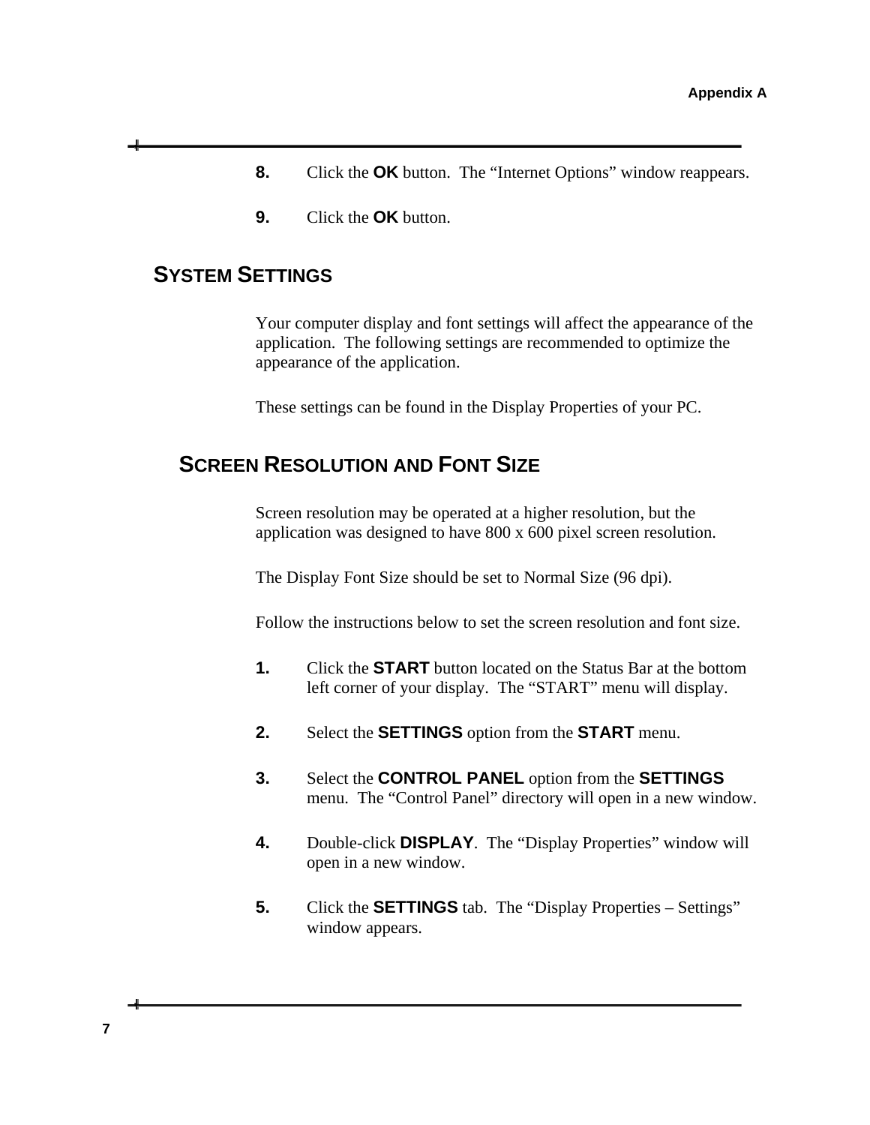- **8.** Click the **OK** button. The "Internet Options" window reappears.
- **9.** Click the **OK** button.

### <span id="page-8-0"></span> **SYSTEM SETTINGS**

Your computer display and font settings will affect the appearance of the application. The following settings are recommended to optimize the appearance of the application.

These settings can be found in the Display Properties of your PC.

### **SCREEN RESOLUTION AND FONT SIZE**

Screen resolution may be operated at a higher resolution, but the application was designed to have 800 x 600 pixel screen resolution.

The Display Font Size should be set to Normal Size (96 dpi).

Follow the instructions below to set the screen resolution and font size.

- **1.** Click the **START** button located on the Status Bar at the bottom left corner of your display. The "START" menu will display.
- **2.** Select the **SETTINGS** option from the **START** menu.
- **3.** Select the **CONTROL PANEL** option from the **SETTINGS** menu. The "Control Panel" directory will open in a new window.
- **4.** Double-click **DISPLAY**. The "Display Properties" window will open in a new window.
- **5.** Click the **SETTINGS** tab. The "Display Properties Settings" window appears.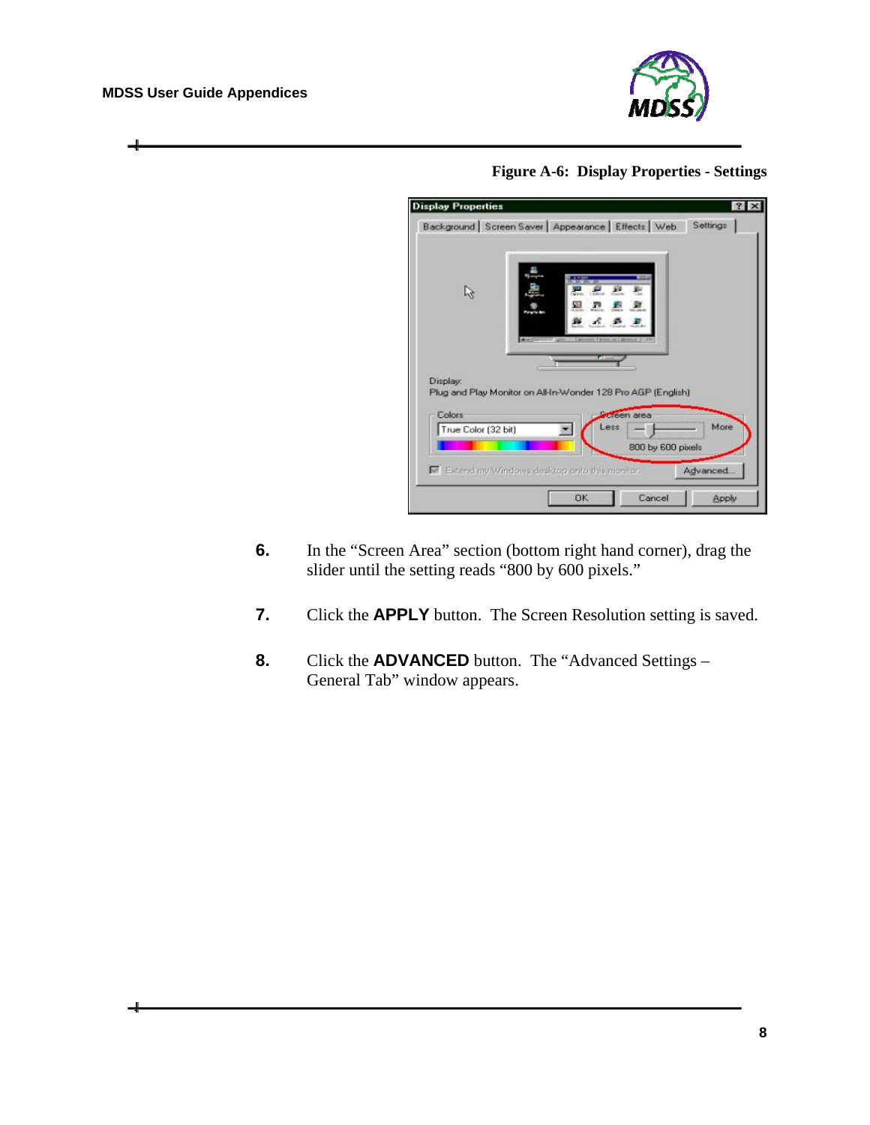#### **MDSS User Guide Appendices**

ᆗ



**Figure A-6: Display Properties - Settings** 

| <b>Display Properties</b>                            |           |                                                              | 121          |
|------------------------------------------------------|-----------|--------------------------------------------------------------|--------------|
| Background Screen Saver   Appearance   Effects   Web |           |                                                              | Settings     |
|                                                      | J.        | <b>Harburgh</b>                                              |              |
| Display:                                             |           | Plug and Play Monitor on All-In-Wonder 128 Pro AGP (English) |              |
| <b>Colors</b><br>True Color (32 bit)                 | ess       | <b>Acreen area</b><br>800 by 600 pixels                      | More         |
| Extend my Windows desktop anto this monitor.         |           |                                                              | Advanced.    |
|                                                      | <b>OK</b> | Cancel                                                       | <b>Apply</b> |

- **6.** In the "Screen Area" section (bottom right hand corner), drag the slider until the setting reads "800 by 600 pixels."
- **7.** Click the **APPLY** button. The Screen Resolution setting is saved.
- **8.** Click the **ADVANCED** button. The "Advanced Settings General Tab" window appears.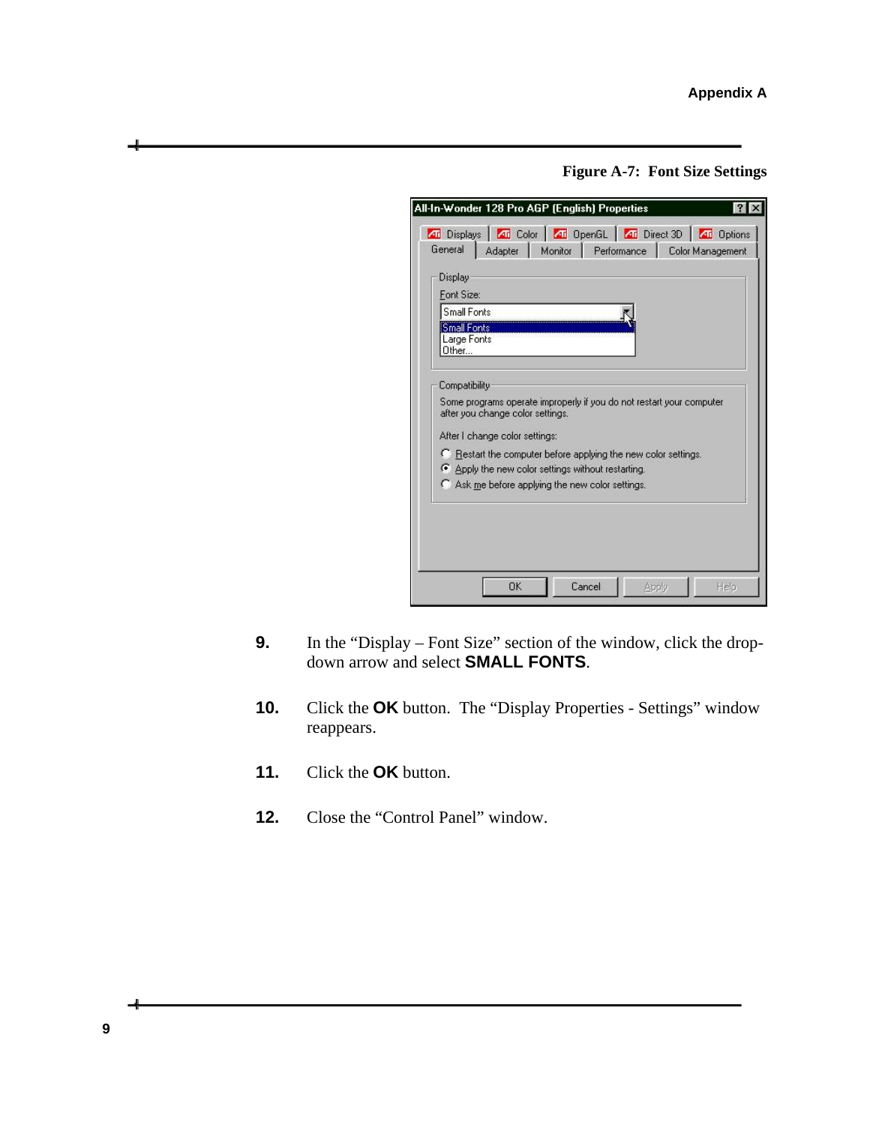**Figure A-7: Font Size Settings** 

| Display<br>Font Size:                                     |                                                                                                                    |
|-----------------------------------------------------------|--------------------------------------------------------------------------------------------------------------------|
| Small Fonts<br><b>Small Fonts</b><br>Large Fonts<br>Other |                                                                                                                    |
| Compatibility                                             | Some programs operate improperly if you do not restart your computer                                               |
|                                                           | after you change color settings.<br>After I change color settings:                                                 |
|                                                           | C Restart the computer before applying the new color settings.<br>Apply the new color settings without restarting. |
|                                                           | C Ask me before applying the new color settings.                                                                   |

- **9.** In the "Display Font Size" section of the window, click the dropdown arrow and select **SMALL FONTS**.
- **10.** Click the **OK** button. The "Display Properties Settings" window reappears.
- **11.** Click the **OK** button.
- **12.** Close the "Control Panel" window.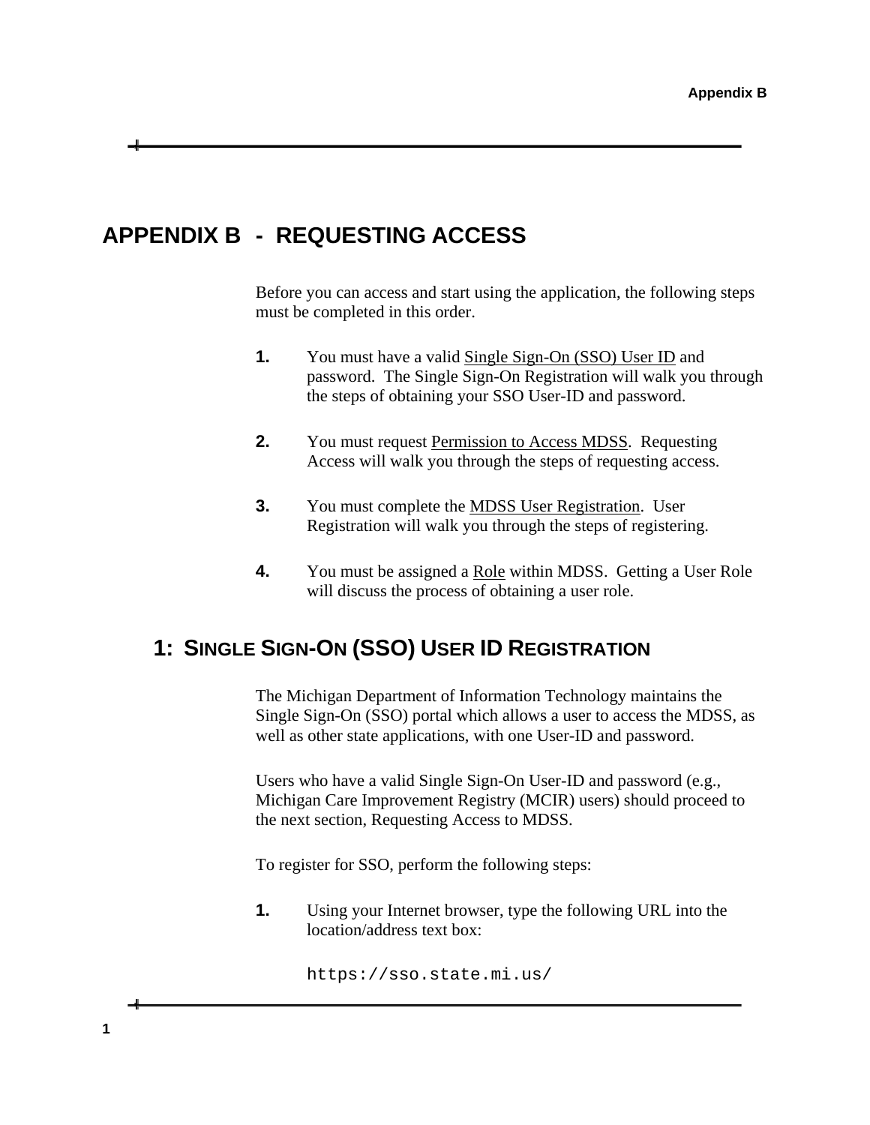## <span id="page-12-0"></span>**APPENDIX B - REQUESTING ACCESS**

Before you can access and start using the application, the following steps must be completed in this order.

- **1.** You must have a valid Single Sign-On (SSO) User ID and password. The Single Sign-On Registration will walk you through the steps of obtaining your SSO User-ID and password.
- **2.** You must request Permission to Access MDSS. Requesting Access will walk you through the steps of requesting access.
- **3.** You must complete the MDSS User Registration. User Registration will walk you through the steps of registering.
- **4.** You must be assigned a Role within MDSS. Getting a User Role will discuss the process of obtaining a user role.

# <span id="page-12-1"></span>**1: SINGLE SIGN-ON (SSO) USER ID REGISTRATION**

The Michigan Department of Information Technology maintains the Single Sign-On (SSO) portal which allows a user to access the MDSS, as well as other state applications, with one User-ID and password.

Users who have a valid Single Sign-On User-ID and password (e.g., Michigan Care Improvement Registry (MCIR) users) should proceed to the next section, Requesting Access to MDSS.

To register for SSO, perform the following steps:

**1.** Using your Internet browser, type the following URL into the location/address text box:

https://sso.state.mi.us/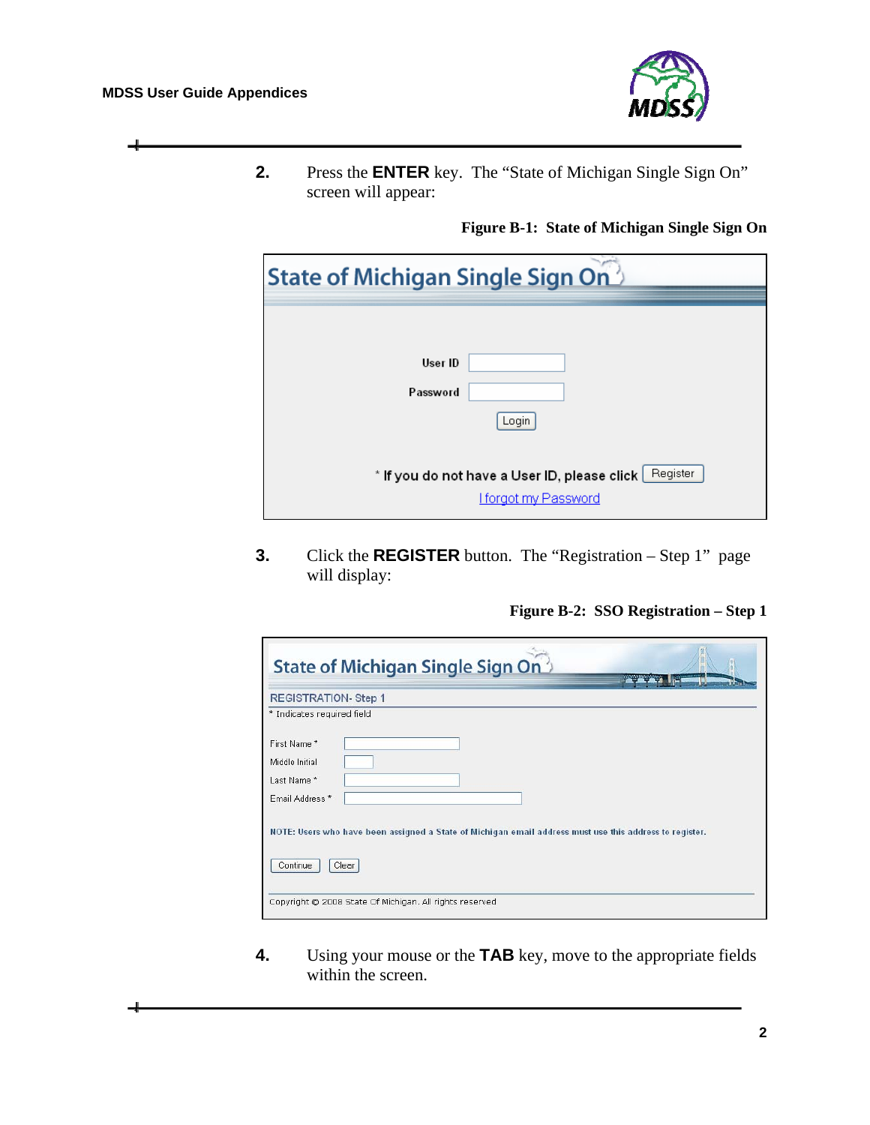Ī

ᅴ



**2.** Press the **ENTER** key. The "State of Michigan Single Sign On" screen will appear:

#### **Figure B-1: State of Michigan Single Sign On**

| State of Michigan Single Sign On                                                        |  |  |  |
|-----------------------------------------------------------------------------------------|--|--|--|
| User ID<br>Password<br>Login                                                            |  |  |  |
| Register<br>* If you do not have a User ID, please click<br><b>I forgot my Password</b> |  |  |  |

**3.** Click the **REGISTER** button. The "Registration – Step 1" page will display:

**Figure B-2: SSO Registration – Step 1** 

| <b>REGISTRATION-Step 1</b> |  |                                                                                                         |  |
|----------------------------|--|---------------------------------------------------------------------------------------------------------|--|
| * Indicates required field |  |                                                                                                         |  |
| First Name*                |  |                                                                                                         |  |
| Middle Initial             |  |                                                                                                         |  |
| Last Name*                 |  |                                                                                                         |  |
| Email Address *            |  |                                                                                                         |  |
|                            |  | NOTE: Users who have been assigned a State of Michigan email address must use this address to register. |  |

**4.** Using your mouse or the **TAB** key, move to the appropriate fields within the screen.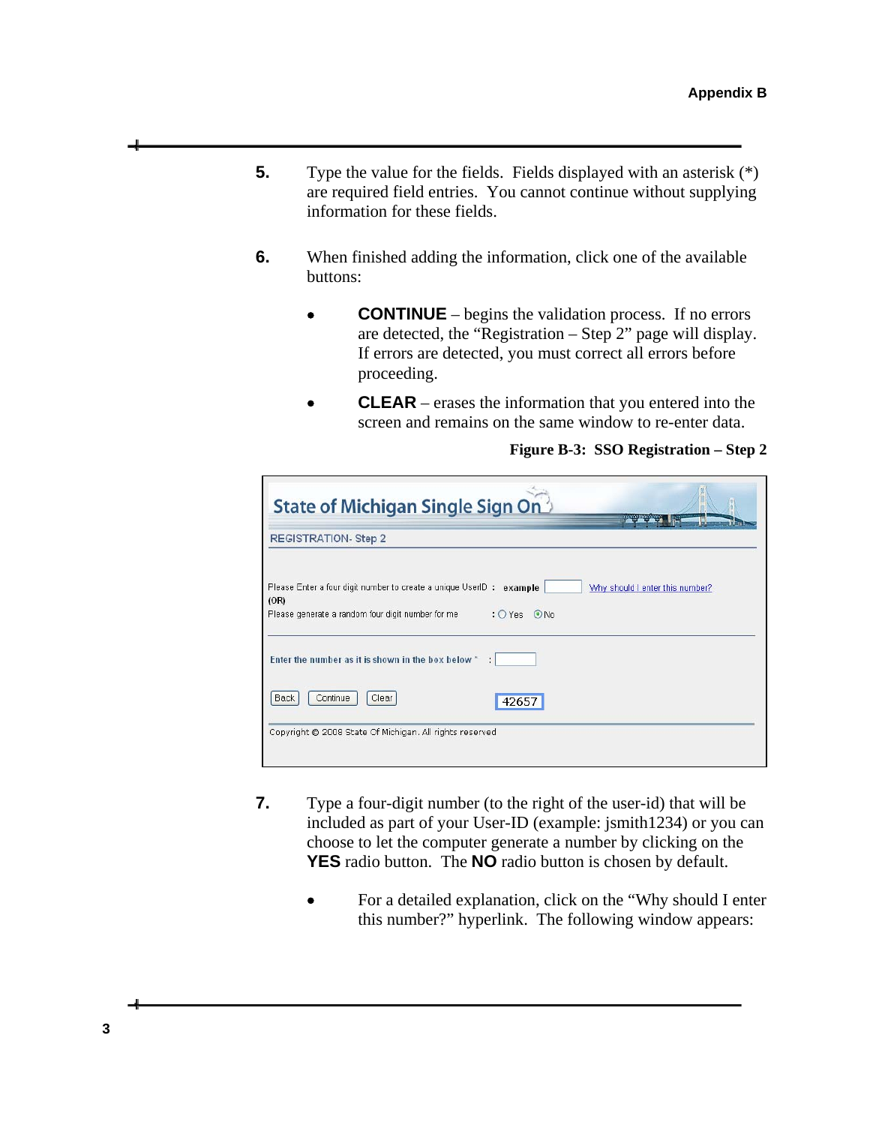- **5.** Type the value for the fields. Fields displayed with an asterisk  $(*)$ are required field entries. You cannot continue without supplying information for these fields.
- **6.** When finished adding the information, click one of the available buttons:
	- **CONTINUE** begins the validation process. If no errors are detected, the "Registration – Step 2" page will display. If errors are detected, you must correct all errors before proceeding.
	- **CLEAR** erases the information that you entered into the screen and remains on the same window to re-enter data.

<span id="page-14-0"></span>

| State of Michigan Single Sign On                                                                                                                          | <b><i>THE CAPTER DIVISIONS</i></b> |
|-----------------------------------------------------------------------------------------------------------------------------------------------------------|------------------------------------|
| <b>REGISTRATION-Step 2</b>                                                                                                                                |                                    |
| Please Enter a four digit number to create a unique UserID : example<br>(OR)<br>: $O$ Yes $\odot$ No<br>Please generate a random four digit number for me | Why should I enter this number?    |
| Enter the number as it is shown in the box below *<br>÷                                                                                                   |                                    |
| <b>Back</b><br>Continue<br>Clear<br>42657                                                                                                                 |                                    |
| Copyright @ 2008 State Of Michigan. All rights reserved                                                                                                   |                                    |

**Figure B-3: SSO Registration – Step 2** 

- **7.** Type a four-digit number (to the right of the user-id) that will be included as part of your User-ID (example: jsmith1234) or you can choose to let the computer generate a number by clicking on the **YES** radio button. The **NO** radio button is chosen by default.
	- For a detailed explanation, click on the "Why should I enter this number?" hyperlink. The following window appears: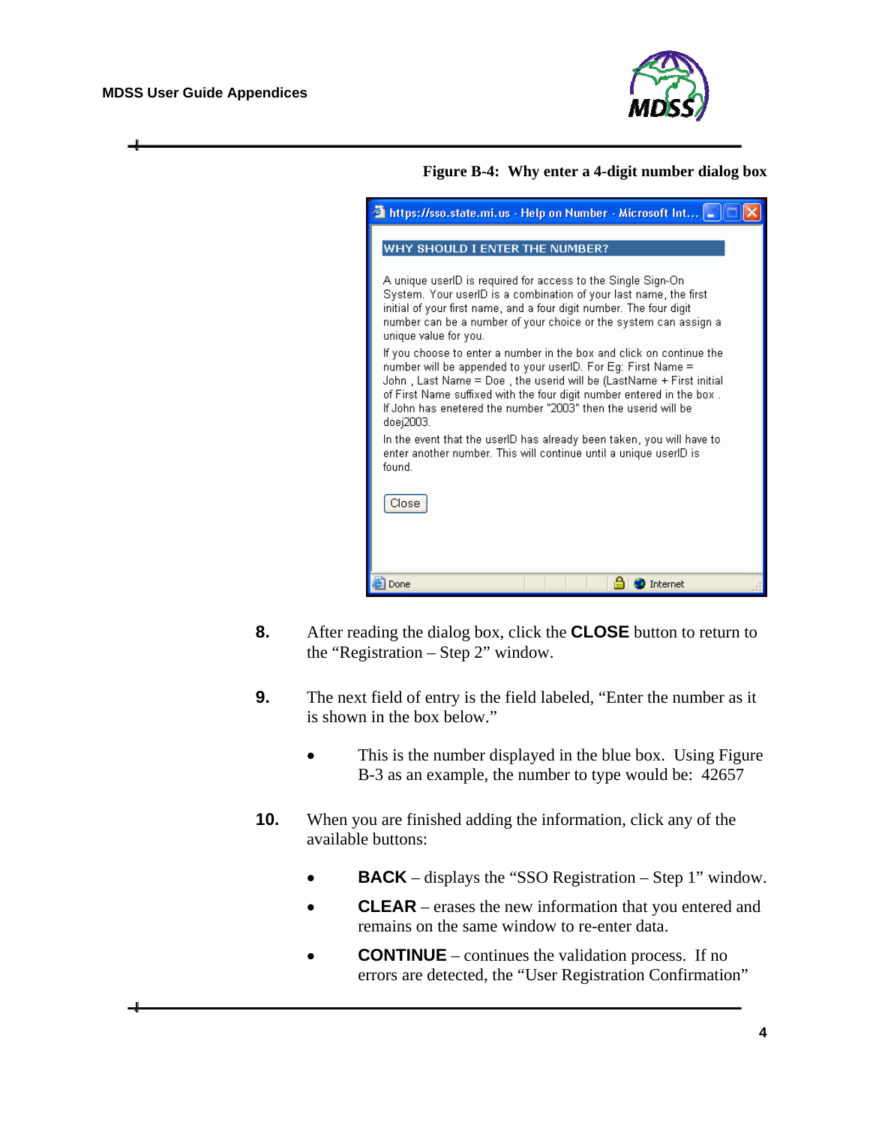

**Figure B-4: Why enter a 4-digit number dialog box** 

| $\blacksquare$ https://sso.state.mi.us - Help on Number - Microsoft Int $\blacksquare$                                                                                                                                                                                                                                                                              |
|---------------------------------------------------------------------------------------------------------------------------------------------------------------------------------------------------------------------------------------------------------------------------------------------------------------------------------------------------------------------|
| WHY SHOULD I ENTER THE NUMBER?                                                                                                                                                                                                                                                                                                                                      |
| A unique userID is required for access to the Single Sign-On<br>System. Your userID is a combination of your last name, the first<br>initial of your first name, and a four digit number. The four digit<br>number can be a number of your choice or the system can assign a<br>unique value for you.                                                               |
| If you choose to enter a number in the box and click on continue the<br>number will be appended to your userID. For Eg: First Name =<br>John, Last Name = Doe, the userid will be (LastName + First initial<br>of First Name suffixed with the four digit number entered in the box.<br>If John has enetered the number "2003" then the userid will be<br>doej2003. |
| In the event that the userID has already been taken, you will have to<br>enter another number. This will continue until a unique userID is<br>found.                                                                                                                                                                                                                |
| Close                                                                                                                                                                                                                                                                                                                                                               |
|                                                                                                                                                                                                                                                                                                                                                                     |
| Internet<br>Done                                                                                                                                                                                                                                                                                                                                                    |

- **8.** After reading the dialog box, click the **CLOSE** button to return to the "Registration – Step 2" window.
- **9.** The next field of entry is the field labeled, "Enter the number as it is shown in the box below."
	- This is the number displayed in the blue box. Using Figure [B-3](#page-14-0) as an example, the number to type would be: 42657
- **10.** When you are finished adding the information, click any of the available buttons:
	- **BACK** displays the "SSO Registration Step 1" window.
	- **CLEAR** erases the new information that you entered and remains on the same window to re-enter data.
	- **CONTINUE** continues the validation process. If no errors are detected, the "User Registration Confirmation"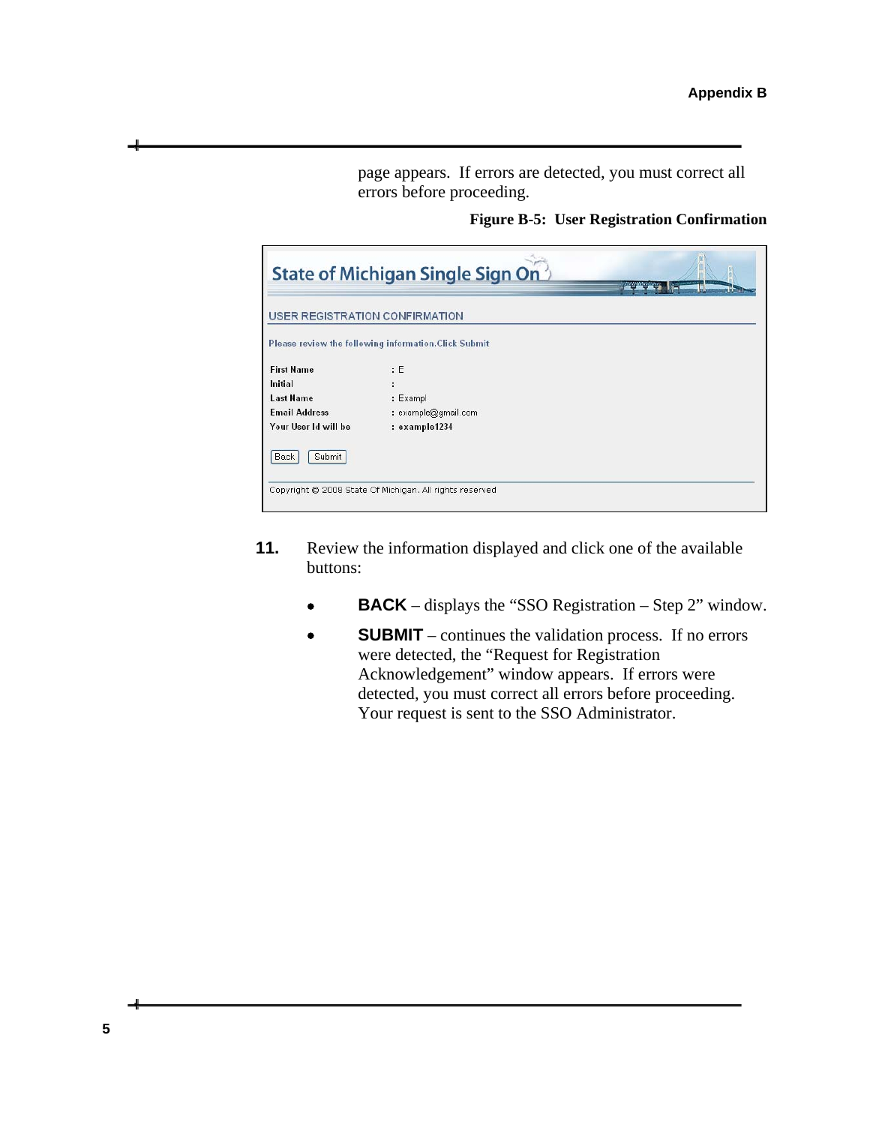page appears. If errors are detected, you must correct all errors before proceeding.

**Figure B-5: User Registration Confirmation** 

|                                | State of Michigan Single Sign On                      | <b>TEXANDRESSION</b> |
|--------------------------------|-------------------------------------------------------|----------------------|
| USER REGISTRATION CONFIRMATION |                                                       |                      |
|                                | Please review the following information. Click Submit |                      |
| <b>First Name</b>              | E                                                     |                      |
| Initial                        |                                                       |                      |
| <b>Last Name</b>               | : Exampl                                              |                      |
| <b>Email Address</b>           | : example@gmail.com                                   |                      |
| Your User Id will be           | : example1234                                         |                      |
| Submit<br><b>Back</b>          |                                                       |                      |
|                                |                                                       |                      |

- **11.** Review the information displayed and click one of the available buttons:
	- **BACK** displays the "SSO Registration Step 2" window.
	- **SUBMIT** continues the validation process. If no errors were detected, the "Request for Registration Acknowledgement" window appears. If errors were detected, you must correct all errors before proceeding. Your request is sent to the SSO Administrator.

**5**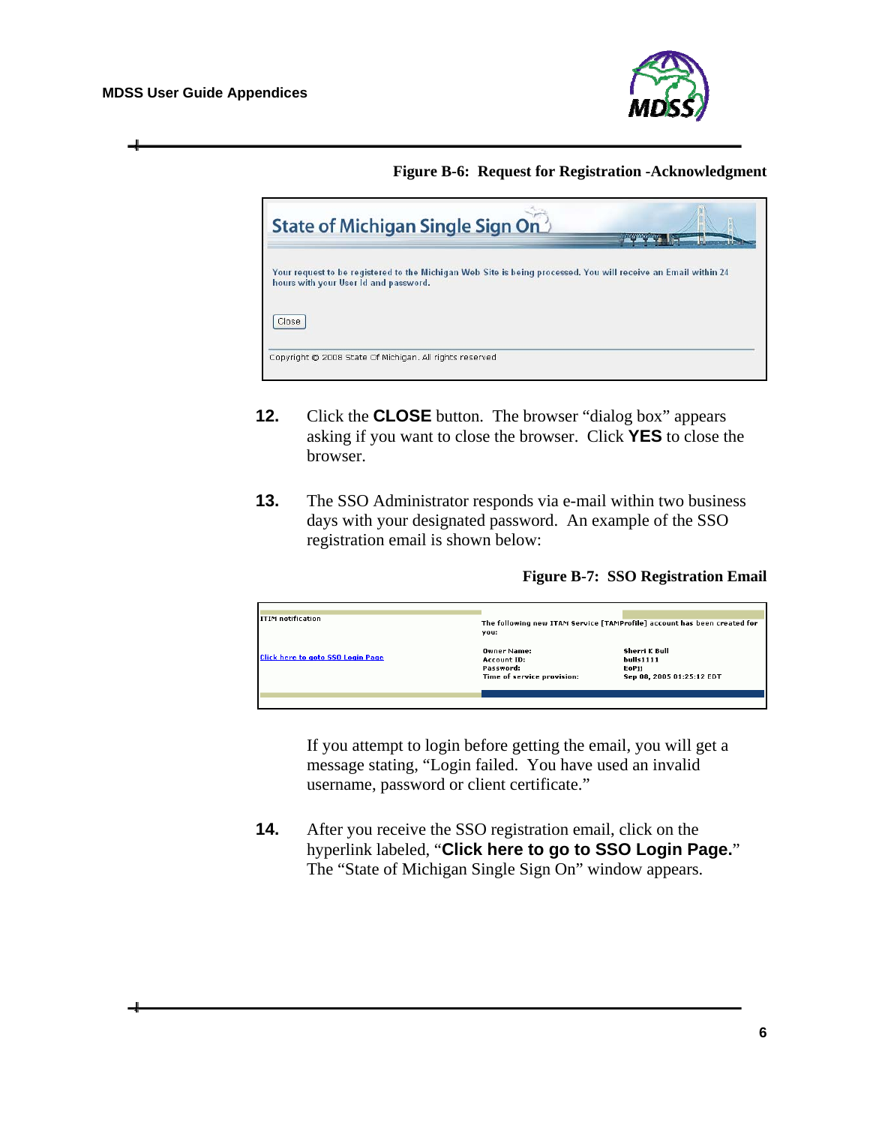

#### **Figure B-6: Request for Registration -Acknowledgment**

| State of Michigan Single Sign On                                                                                                                        | <b>WASHINGTON</b> |
|---------------------------------------------------------------------------------------------------------------------------------------------------------|-------------------|
| Your request to be registered to the Michigan Web Site is being processed. You will receive an Email within 24<br>hours with your User Id and password. |                   |
| Close                                                                                                                                                   |                   |
| Copyright @ 2008 State Of Michigan. All rights reserved                                                                                                 |                   |

- **12.** Click the **CLOSE** button. The browser "dialog box" appears asking if you want to close the browser. Click **YES** to close the browser.
- **13.** The SSO Administrator responds via e-mail within two business days with your designated password. An example of the SSO registration email is shown below:

**Figure B-7: SSO Registration Email** 

| <b>ITIM</b> notification                 |                            |                                                                          |  |
|------------------------------------------|----------------------------|--------------------------------------------------------------------------|--|
|                                          |                            | The following new ITAM Service [TAMProfile] account has been created for |  |
|                                          | you:                       |                                                                          |  |
|                                          | <b>Owner Name:</b>         | Sherri K Bull                                                            |  |
| <b>Click here to goto SSO Login Page</b> | Account ID:                | bulls1111                                                                |  |
|                                          | Password:                  | EoPii                                                                    |  |
|                                          | Time of service provision: | Sep 08, 2005 01:25:12 EDT                                                |  |
|                                          |                            |                                                                          |  |
|                                          |                            |                                                                          |  |
|                                          |                            |                                                                          |  |

If you attempt to login before getting the email, you will get a message stating, "Login failed. You have used an invalid username, password or client certificate."

**14.** After you receive the SSO registration email, click on the hyperlink labeled, "**Click here to go to SSO Login Page.**" The "State of Michigan Single Sign On" window appears.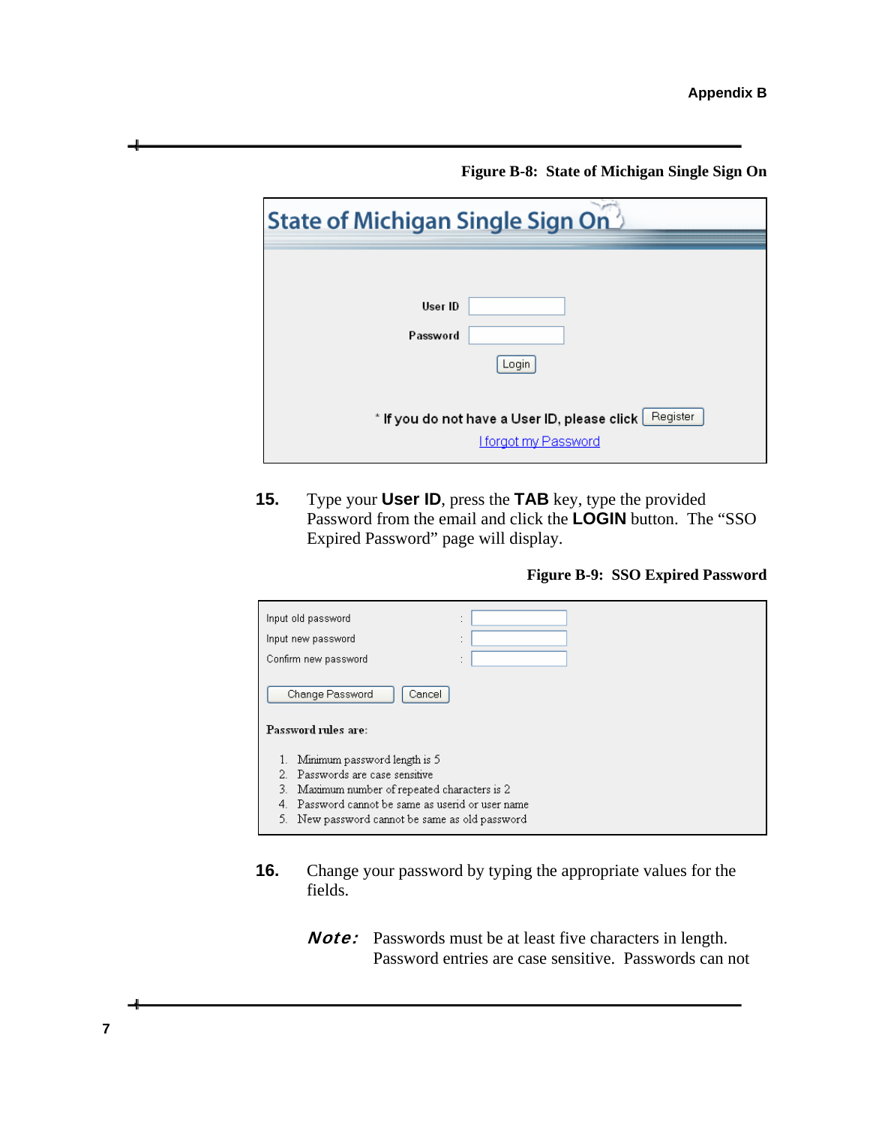**Figure B-8: State of Michigan Single Sign On** 

| <b>State of Michigan Single Sign On</b> <sup>2</sup>                                    |  |  |  |
|-----------------------------------------------------------------------------------------|--|--|--|
|                                                                                         |  |  |  |
| User ID                                                                                 |  |  |  |
| Password                                                                                |  |  |  |
| Login                                                                                   |  |  |  |
| Register<br>* If you do not have a User ID, please click<br><b>I forgot my Password</b> |  |  |  |

**15.** Type your **User ID**, press the **TAB** key, type the provided Password from the email and click the **LOGIN** button. The "SSO Expired Password" page will display.

**Figure B-9: SSO Expired Password** 

| Input old password<br>Input new password<br>Confirm new password | ٠<br>٠<br>٠<br>$\epsilon$<br>٠ |  |  |  |
|------------------------------------------------------------------|--------------------------------|--|--|--|
| Change Password<br>Cancel                                        | ٠                              |  |  |  |
| Password rules are:                                              |                                |  |  |  |
| Minimum password length is 5                                     |                                |  |  |  |
| 2. Passwords are case sensitive                                  |                                |  |  |  |
| 3.<br>Maximum number of repeated characters is 2                 |                                |  |  |  |
| Password cannot be same as userid or user name<br>4.             |                                |  |  |  |
| 5.<br>New password cannot be same as old password                |                                |  |  |  |

- **16.** Change your password by typing the appropriate values for the fields.
	- **Note:** Passwords must be at least five characters in length. Password entries are case sensitive. Passwords can not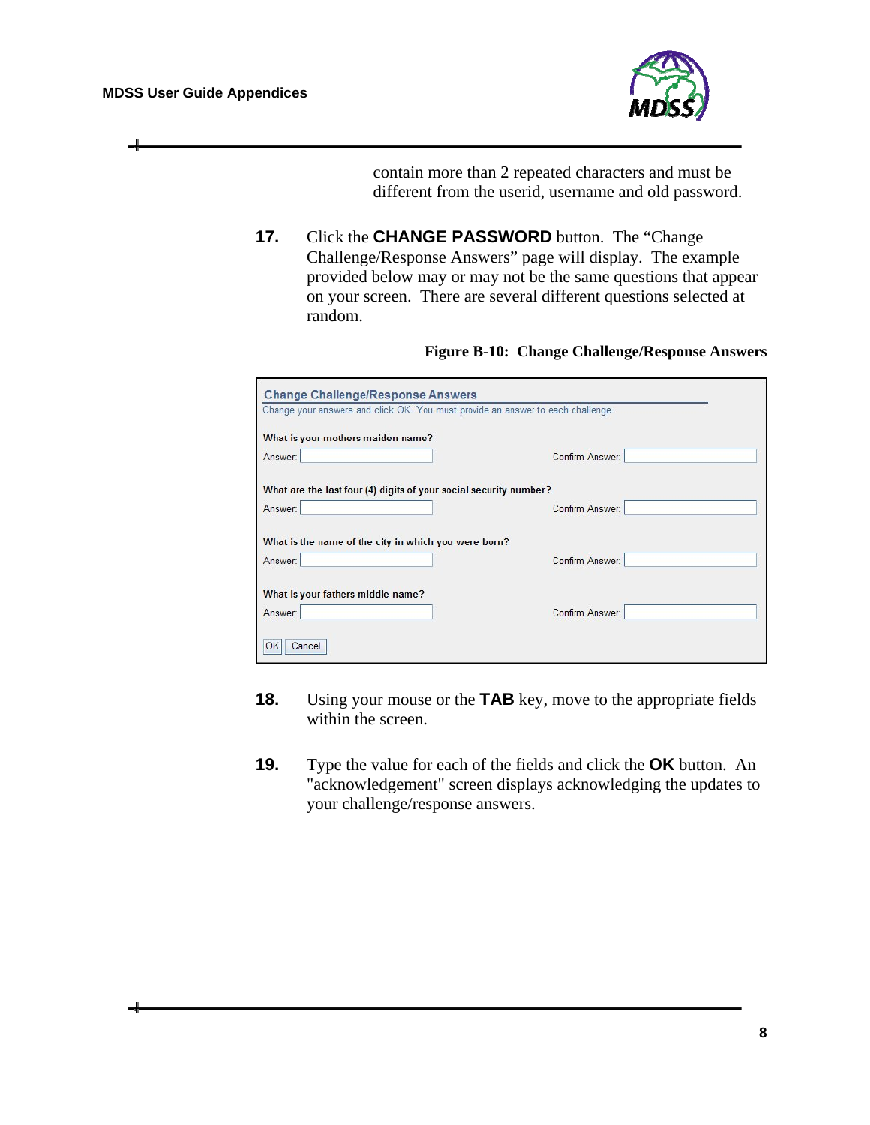

contain more than 2 repeated characters and must be different from the userid, username and old password.

**17.** Click the **CHANGE PASSWORD** button. The "Change Challenge/Response Answers" page will display. The example provided below may or may not be the same questions that appear on your screen. There are several different questions selected at random.

#### **Figure B-10: Change Challenge/Response Answers**

| <b>Change Challenge/Response Answers</b>                                        |                 |  |
|---------------------------------------------------------------------------------|-----------------|--|
| Change your answers and click OK. You must provide an answer to each challenge. |                 |  |
| What is your mothers maiden name?                                               |                 |  |
| Answer:                                                                         | Confirm Answer: |  |
|                                                                                 |                 |  |
| What are the last four (4) digits of your social security number?               |                 |  |
| Answer:                                                                         | Confirm Answer: |  |
|                                                                                 |                 |  |
| What is the name of the city in which you were born?                            |                 |  |
| Answer:                                                                         | Confirm Answer: |  |
|                                                                                 |                 |  |
| What is your fathers middle name?                                               |                 |  |
| Answer:                                                                         | Confirm Answer: |  |
|                                                                                 |                 |  |
| OK<br>Cancel                                                                    |                 |  |

- **18.** Using your mouse or the **TAB** key, move to the appropriate fields within the screen.
- **19.** Type the value for each of the fields and click the **OK** button. An "acknowledgement" screen displays acknowledging the updates to your challenge/response answers.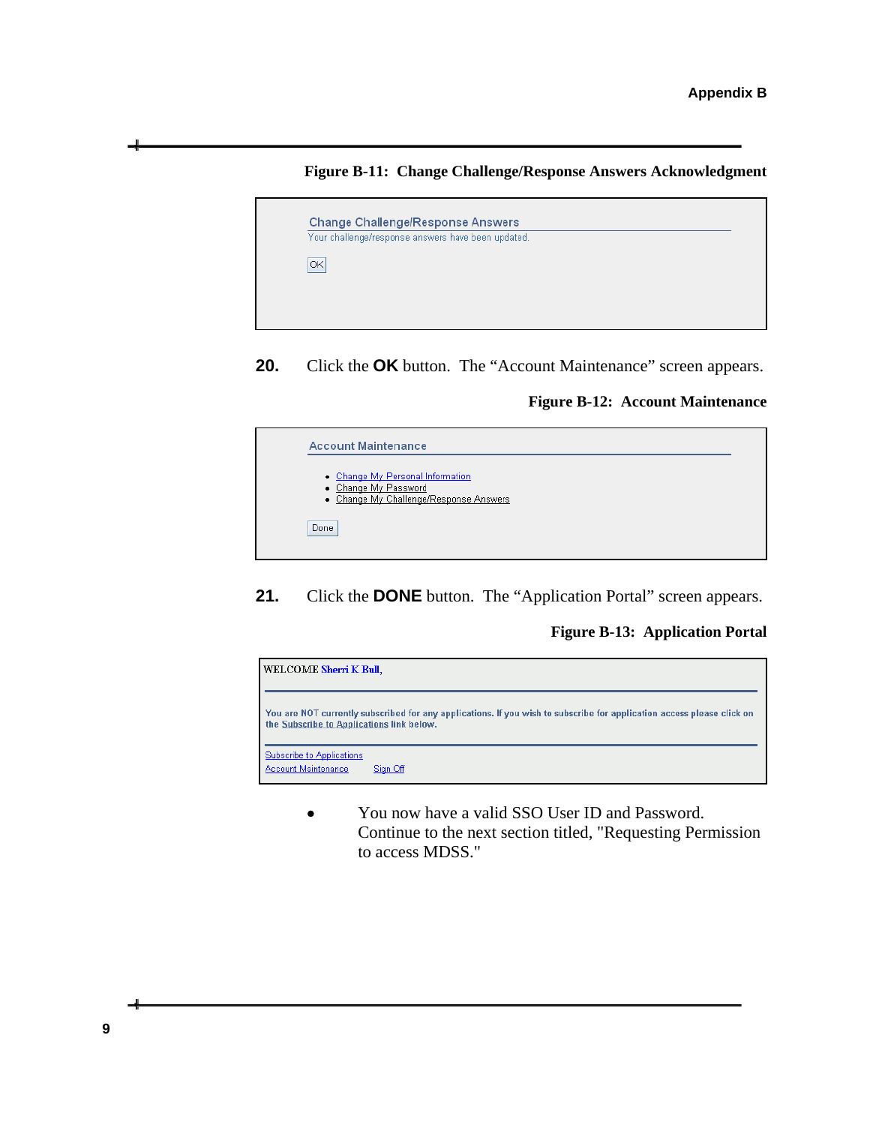



**20.** Click the **OK** button. The "Account Maintenance" screen appears.

**Figure B-12: Account Maintenance** 



**21.** Click the **DONE** button. The "Application Portal" screen appears.

**Figure B-13: Application Portal** 



 You now have a valid SSO User ID and Password. Continue to the next section titled, "Requesting Permission to access MDSS."

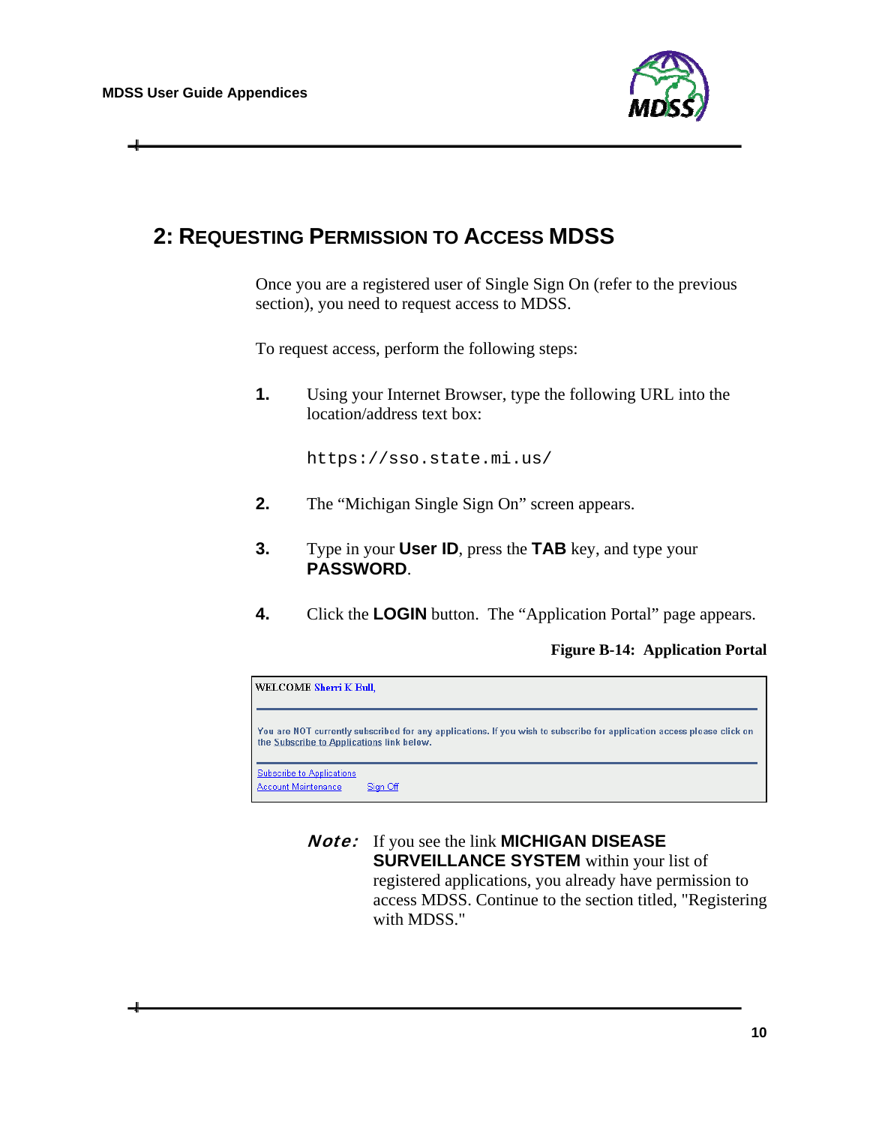

## <span id="page-21-0"></span>**2: REQUESTING PERMISSION TO ACCESS MDSS**

Once you are a registered user of Single Sign On (refer to the previous section), you need to request access to MDSS.

To request access, perform the following steps:

**1.** Using your Internet Browser, type the following URL into the location/address text box:

https://sso.state.mi.us/

- **2.** The "Michigan Single Sign On" screen appears.
- **3.** Type in your **User ID**, press the **TAB** key, and type your **PASSWORD**.
- **4.** Click the **LOGIN** button. The "Application Portal" page appears.

**Figure B-14: Application Portal** 

| WELCOME Sherri K Bull,                                  |                                                                                                                        |
|---------------------------------------------------------|------------------------------------------------------------------------------------------------------------------------|
| the Subscribe to Applications link below.               | You are NOT currently subscribed for any applications. If you wish to subscribe for application access please click on |
| <b>Subscribe to Applications</b><br>Account Maintenance | Sian Off                                                                                                               |

Note: If you see the link **MICHIGAN DISEASE SURVEILLANCE SYSTEM** within your list of registered applications, you already have permission to access MDSS. Continue to the section titled, "Registering with MDSS."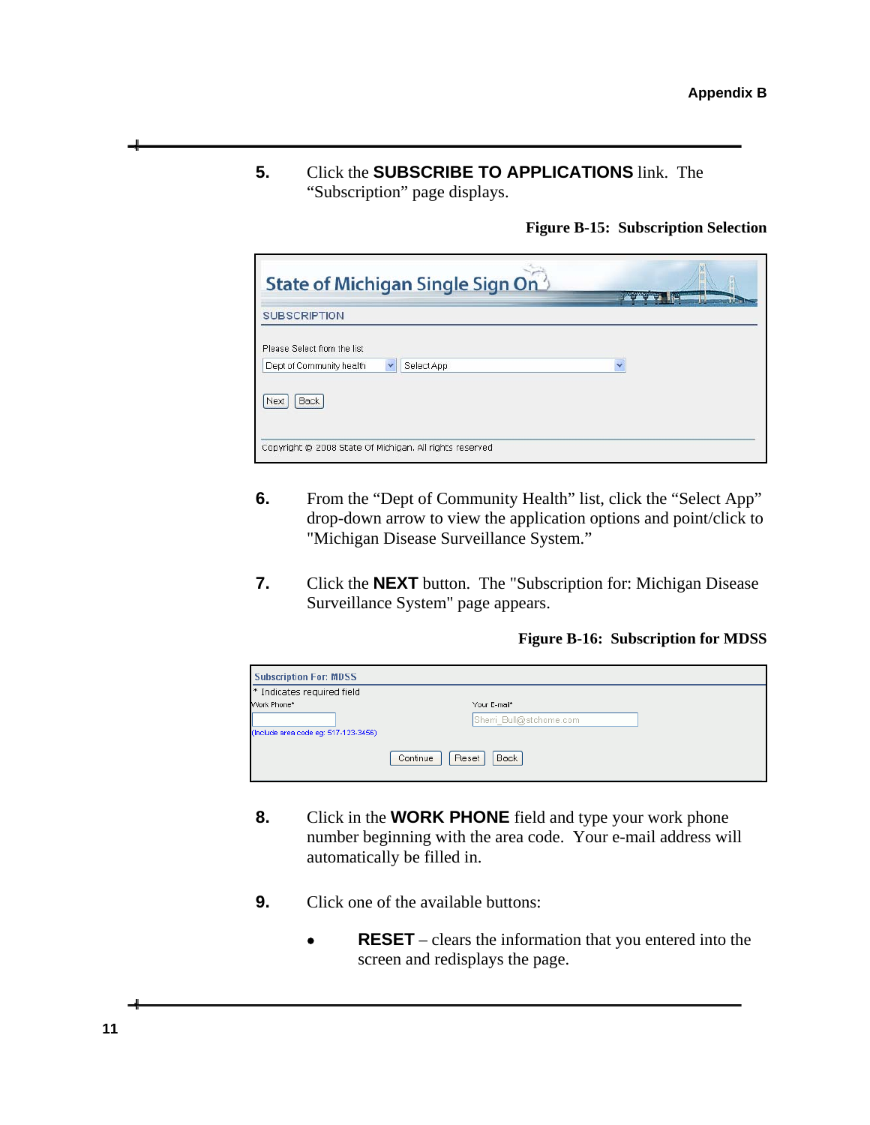**5.** Click the **SUBSCRIBE TO APPLICATIONS** link. The "Subscription" page displays.

**Figure B-15: Subscription Selection** 

| <b>SUBSCRIPTION</b>         |            | 128                      |  |
|-----------------------------|------------|--------------------------|--|
| Please Select from the list |            |                          |  |
| Dept of Community health    | Select App | $\overline{\phantom{a}}$ |  |
| Back<br>Next                |            |                          |  |
|                             |            |                          |  |

- **6.** From the "Dept of Community Health" list, click the "Select App" drop-down arrow to view the application options and point/click to "Michigan Disease Surveillance System."
- **7.** Click the **NEXT** button. The "Subscription for: Michigan Disease Surveillance System" page appears.

**Figure B-16: Subscription for MDSS** 

| <b>Subscription For: MDSS</b>        |                                  |  |
|--------------------------------------|----------------------------------|--|
| * Indicates required field           |                                  |  |
| Work Phone*                          | Your E-mail*                     |  |
| (Include area code eq: 517-123-3456) | Sherri Bull@stchome.com          |  |
|                                      | <b>Back</b><br>Reset<br>Continue |  |

- **8.** Click in the **WORK PHONE** field and type your work phone number beginning with the area code. Your e-mail address will automatically be filled in.
- **9.** Click one of the available buttons:
	- **RESET** clears the information that you entered into the screen and redisplays the page.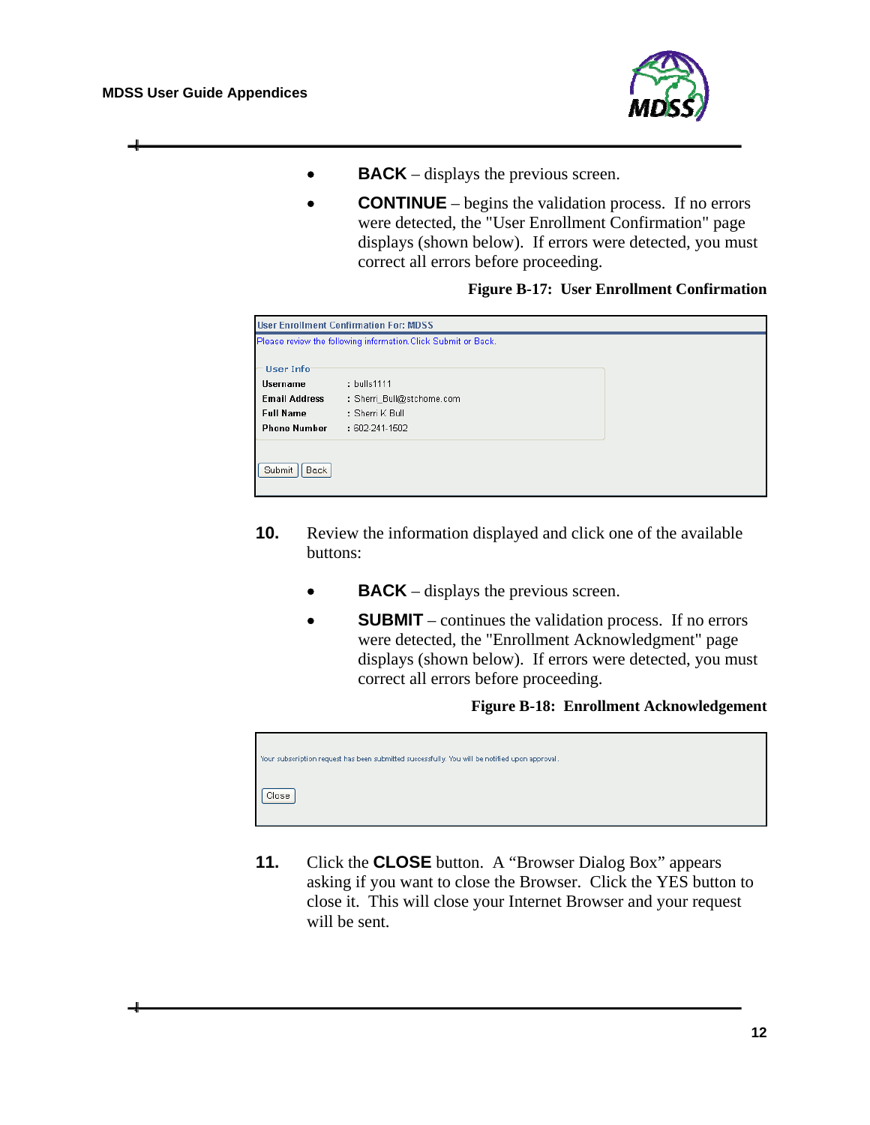

- **• BACK** displays the previous screen.
- **CONTINUE** begins the validation process. If no errors were detected, the "User Enrollment Confirmation" page displays (shown below). If errors were detected, you must correct all errors before proceeding.

#### **Figure B-17: User Enrollment Confirmation**

| <b>User Enrollment Confirmation For: MDSS</b> |                                                                |  |  |  |  |
|-----------------------------------------------|----------------------------------------------------------------|--|--|--|--|
|                                               | Please review the following information. Click Submit or Back. |  |  |  |  |
| User Info                                     |                                                                |  |  |  |  |
| <b>Username</b>                               | : bulls1111                                                    |  |  |  |  |
| <b>Email Address</b>                          | : Sherri Bull@stchome.com                                      |  |  |  |  |
| <b>Full Name</b>                              | $:$ Sherri K Bull                                              |  |  |  |  |
| <b>Phone Number</b>                           | : 602-241-1502                                                 |  |  |  |  |
|                                               |                                                                |  |  |  |  |
| Submit<br>Back                                |                                                                |  |  |  |  |

- **10.** Review the information displayed and click one of the available buttons:
	- **BACK** displays the previous screen.
	- **SUBMIT** continues the validation process. If no errors were detected, the "Enrollment Acknowledgment" page displays (shown below). If errors were detected, you must correct all errors before proceeding.

**Figure B-18: Enrollment Acknowledgement** 



**11.** Click the **CLOSE** button. A "Browser Dialog Box" appears asking if you want to close the Browser. Click the YES button to close it. This will close your Internet Browser and your request will be sent.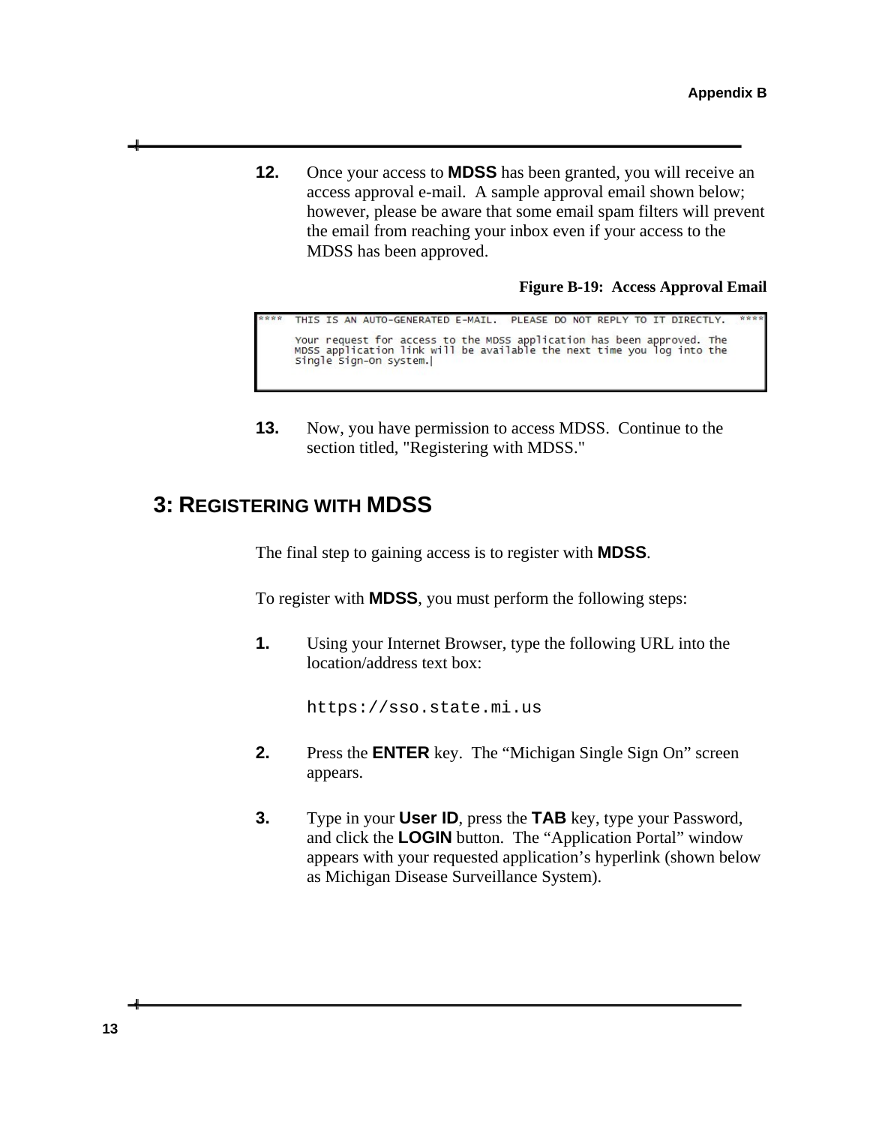**12.** Once your access to **MDSS** has been granted, you will receive an access approval e-mail. A sample approval email shown below; however, please be aware that some email spam filters will prevent the email from reaching your inbox even if your access to the MDSS has been approved.

**Figure B-19: Access Approval Email** 

```
THIS IS AN AUTO-GENERATED E-MAIL.
                                                           PLEASE DO NOT REPLY TO IT DIRECTLY.
Your request for access to the MDSS application has been approved. The<br>MDSS application link will be available the next time you log into the<br>single sign-On system.|
```
**13.** Now, you have permission to access MDSS. Continue to the section titled, "Registering with MDSS."

### <span id="page-24-0"></span>**3: REGISTERING WITH MDSS**

The final step to gaining access is to register with **MDSS**.

To register with **MDSS**, you must perform the following steps:

**1.** Using your Internet Browser, type the following URL into the location/address text box:

https://sso.state.mi.us

- **2.** Press the **ENTER** key. The "Michigan Single Sign On" screen appears.
- **3.** Type in your **User ID**, press the **TAB** key, type your Password, and click the **LOGIN** button. The "Application Portal" window appears with your requested application's hyperlink (shown below as Michigan Disease Surveillance System).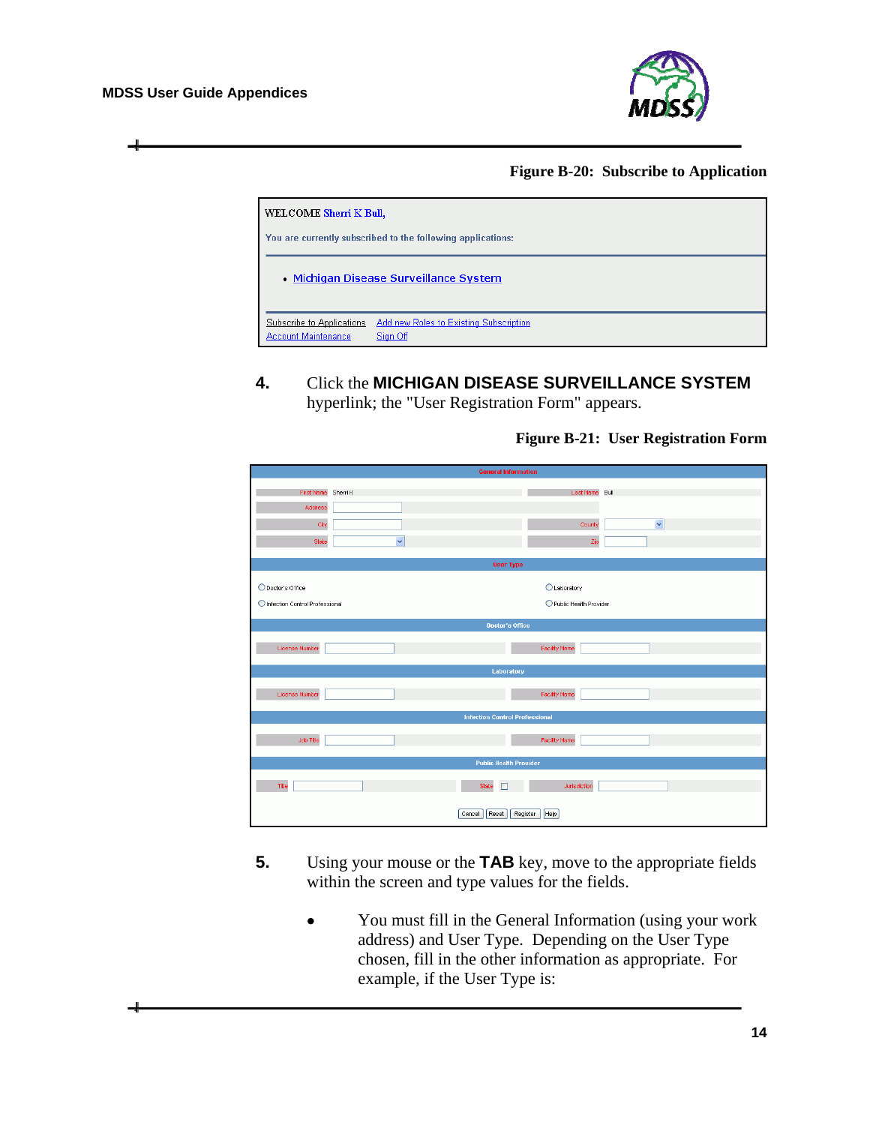

**Figure B-20: Subscribe to Application** 

| WELCOME Sherri K Bull,<br>You are currently subscribed to the following applications: |                                                    |  |  |  |
|---------------------------------------------------------------------------------------|----------------------------------------------------|--|--|--|
|                                                                                       | Michigan Disease Surveillance System               |  |  |  |
| Subscribe to Applications<br>Account Maintenance                                      | Add new Roles to Existing Subscription<br>Sign Off |  |  |  |

**4.** Click the **MICHIGAN DISEASE SURVEILLANCE SYSTEM** hyperlink; the "User Registration Form" appears.

#### **Figure B-21: User Registration Form**

| <b>General Information</b>       |              |                                       |              |  |  |  |
|----------------------------------|--------------|---------------------------------------|--------------|--|--|--|
|                                  |              |                                       |              |  |  |  |
| First Name Sherri K              |              | Last Name Bull                        |              |  |  |  |
| Address                          |              |                                       |              |  |  |  |
| City                             |              | County                                | $\checkmark$ |  |  |  |
| State                            | $\checkmark$ | Zip                                   |              |  |  |  |
|                                  |              |                                       |              |  |  |  |
|                                  |              | <b>User Type</b>                      |              |  |  |  |
|                                  |              |                                       |              |  |  |  |
| O Doctor's Office                |              | <b>OLaboratory</b>                    |              |  |  |  |
| O Infection Control Professional |              | Rublic Health Provider                |              |  |  |  |
|                                  |              | <b>Doctor's Office</b>                |              |  |  |  |
|                                  |              |                                       |              |  |  |  |
| License Number                   |              | <b>Facility Name</b>                  |              |  |  |  |
|                                  |              |                                       |              |  |  |  |
| Laboratory                       |              |                                       |              |  |  |  |
| License Number                   |              | <b>Facility Name</b>                  |              |  |  |  |
|                                  |              |                                       |              |  |  |  |
|                                  |              | <b>Infection Control Professional</b> |              |  |  |  |
|                                  |              |                                       |              |  |  |  |
| Job Title                        |              | <b>Facility Name</b>                  |              |  |  |  |
| <b>Public Health Provider</b>    |              |                                       |              |  |  |  |
|                                  |              |                                       |              |  |  |  |
| Title                            |              | State<br>Jurisdiction                 |              |  |  |  |
|                                  |              |                                       |              |  |  |  |
|                                  |              | Reset<br>Register<br>Help<br>Cancel   |              |  |  |  |

- **5.** Using your mouse or the **TAB** key, move to the appropriate fields within the screen and type values for the fields.
	- You must fill in the General Information (using your work address) and User Type. Depending on the User Type chosen, fill in the other information as appropriate. For example, if the User Type is: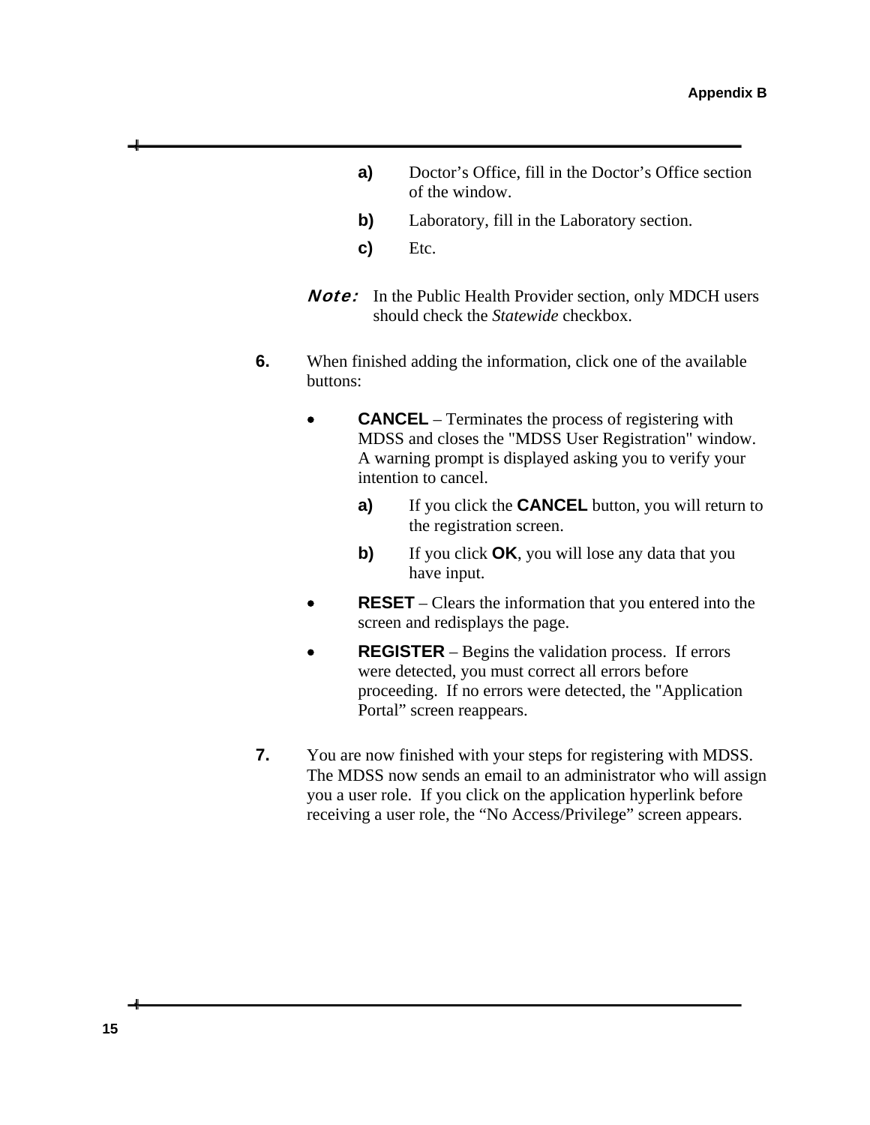- **a)** Doctor's Office, fill in the Doctor's Office section of the window.
- **b)** Laboratory, fill in the Laboratory section.
- **c)** Etc.
- **Note:** In the Public Health Provider section, only MDCH users should check the *Statewide* checkbox.
- **6.** When finished adding the information, click one of the available buttons:
	- **CANCEL** Terminates the process of registering with MDSS and closes the "MDSS User Registration" window. A warning prompt is displayed asking you to verify your intention to cancel.
		- **a)** If you click the **CANCEL** button, you will return to the registration screen.
		- **b)** If you click **OK**, you will lose any data that you have input.
	- **RESET** Clears the information that you entered into the screen and redisplays the page.
	- **REGISTER** Begins the validation process. If errors were detected, you must correct all errors before proceeding. If no errors were detected, the "Application Portal" screen reappears.
- **7.** You are now finished with your steps for registering with MDSS. The MDSS now sends an email to an administrator who will assign you a user role. If you click on the application hyperlink before receiving a user role, the "No Access/Privilege" screen appears.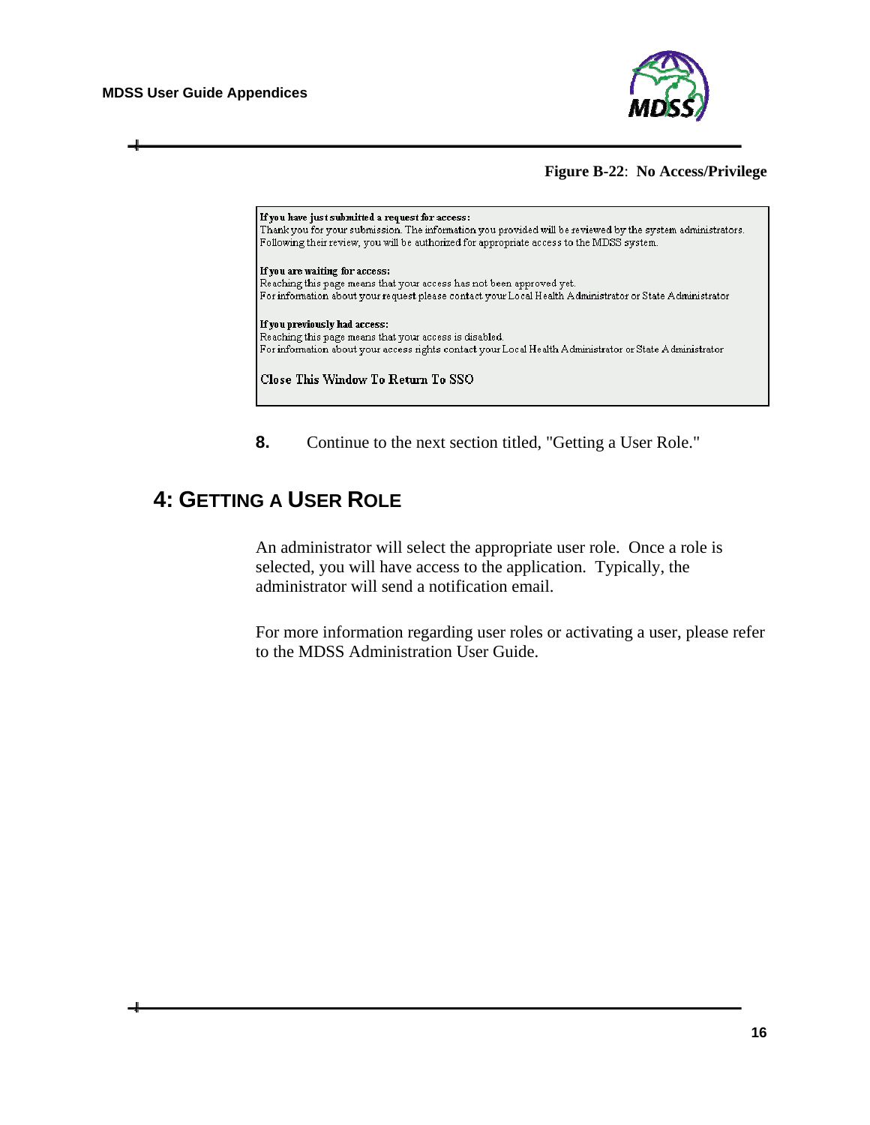**MDSS User Guide Appendices** 



#### **Figure B-22**: **No Access/Privilege**



**8.** Continue to the next section titled, "Getting a User Role."

## <span id="page-27-0"></span>**4: GETTING A USER ROLE**

An administrator will select the appropriate user role. Once a role is selected, you will have access to the application. Typically, the administrator will send a notification email.

For more information regarding user roles or activating a user, please refer to the MDSS Administration User Guide.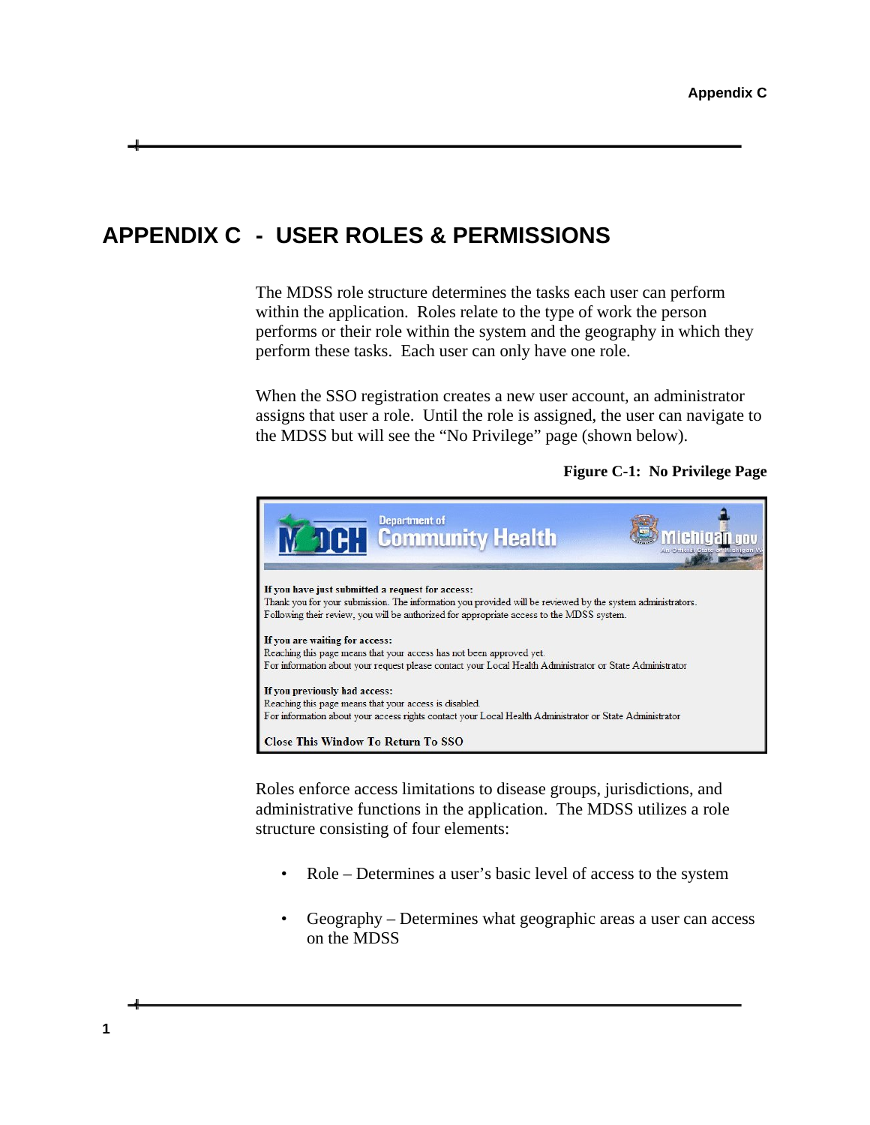## <span id="page-28-0"></span>**APPENDIX C - USER ROLES & PERMISSIONS**

The MDSS role structure determines the tasks each user can perform within the application. Roles relate to the type of work the person performs or their role within the system and the geography in which they perform these tasks. Each user can only have one role.

When the SSO registration creates a new user account, an administrator assigns that user a role. Until the role is assigned, the user can navigate to the MDSS but will see the "No Privilege" page (shown below).

#### **Figure C-1: No Privilege Page**



Roles enforce access limitations to disease groups, jurisdictions, and administrative functions in the application. The MDSS utilizes a role structure consisting of four elements:

- Role Determines a user's basic level of access to the system
- Geography Determines what geographic areas a user can access on the MDSS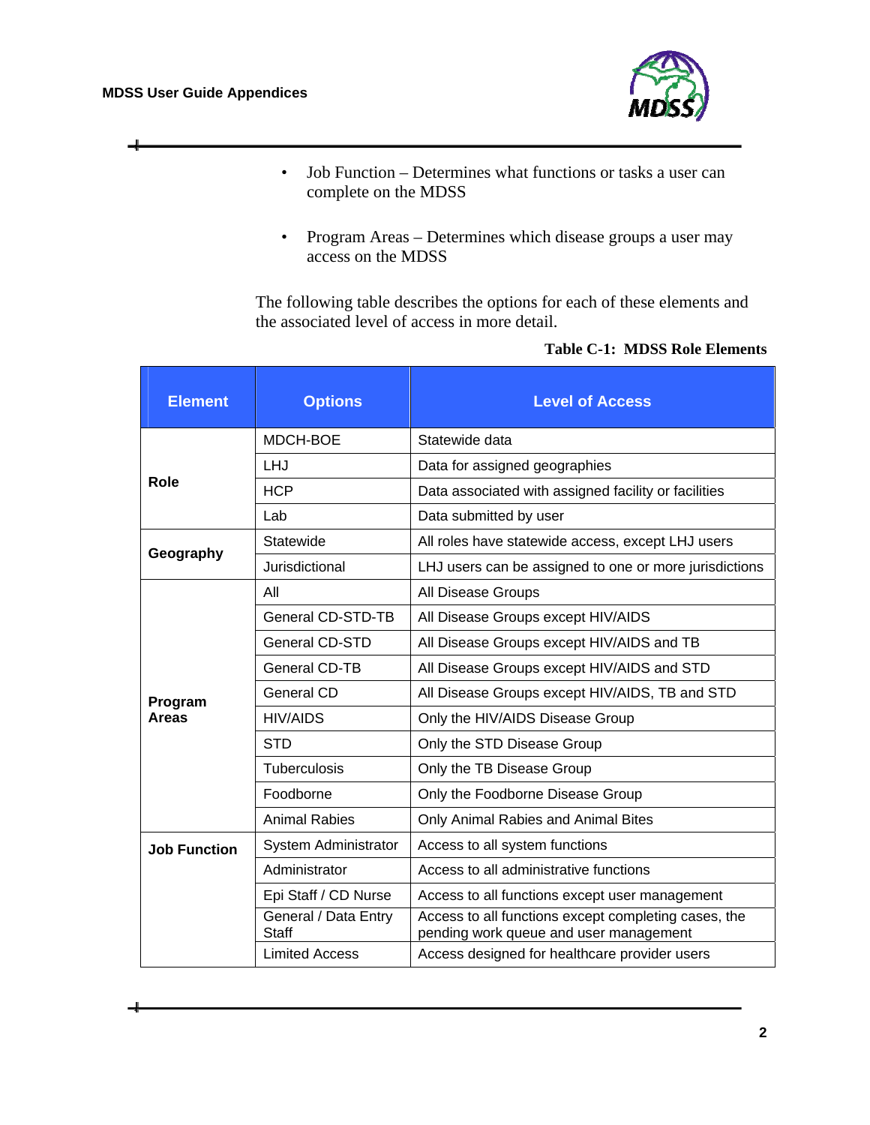ᆗ



- Job Function Determines what functions or tasks a user can complete on the MDSS
- Program Areas Determines which disease groups a user may access on the MDSS

The following table describes the options for each of these elements and the associated level of access in more detail.

| <b>Element</b>          | <b>Options</b>                | <b>Level of Access</b>                                                                         |  |  |
|-------------------------|-------------------------------|------------------------------------------------------------------------------------------------|--|--|
|                         | MDCH-BOE                      | Statewide data                                                                                 |  |  |
|                         | LHJ                           | Data for assigned geographies                                                                  |  |  |
| Role                    | <b>HCP</b>                    | Data associated with assigned facility or facilities                                           |  |  |
|                         | Lab                           | Data submitted by user                                                                         |  |  |
| Geography               | Statewide                     | All roles have statewide access, except LHJ users                                              |  |  |
|                         | Jurisdictional                | LHJ users can be assigned to one or more jurisdictions                                         |  |  |
|                         | All                           | All Disease Groups                                                                             |  |  |
|                         | General CD-STD-TB             | All Disease Groups except HIV/AIDS                                                             |  |  |
| Program<br><b>Areas</b> | <b>General CD-STD</b>         | All Disease Groups except HIV/AIDS and TB                                                      |  |  |
|                         | General CD-TB                 | All Disease Groups except HIV/AIDS and STD                                                     |  |  |
|                         | General CD                    | All Disease Groups except HIV/AIDS, TB and STD                                                 |  |  |
|                         | HIV/AIDS                      | Only the HIV/AIDS Disease Group                                                                |  |  |
|                         | <b>STD</b>                    | Only the STD Disease Group                                                                     |  |  |
|                         | <b>Tuberculosis</b>           | Only the TB Disease Group                                                                      |  |  |
|                         | Foodborne                     | Only the Foodborne Disease Group                                                               |  |  |
|                         | <b>Animal Rabies</b>          | Only Animal Rabies and Animal Bites                                                            |  |  |
| <b>Job Function</b>     | <b>System Administrator</b>   | Access to all system functions                                                                 |  |  |
|                         | Administrator                 | Access to all administrative functions                                                         |  |  |
|                         | Epi Staff / CD Nurse          | Access to all functions except user management                                                 |  |  |
|                         | General / Data Entry<br>Staff | Access to all functions except completing cases, the<br>pending work queue and user management |  |  |
|                         | <b>Limited Access</b>         | Access designed for healthcare provider users                                                  |  |  |

#### **Table C-1: MDSS Role Elements**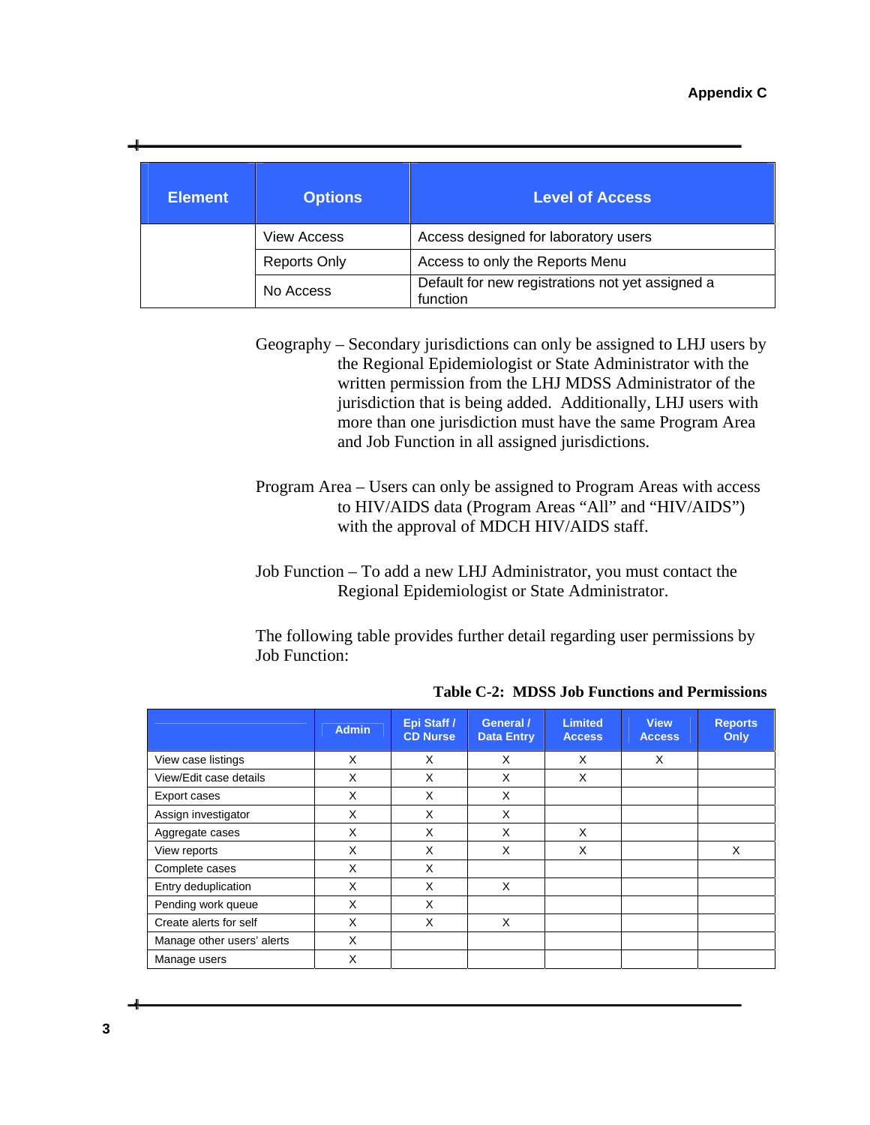| <b>Element</b> | <b>Options</b>      | <b>Level of Access</b>                                       |
|----------------|---------------------|--------------------------------------------------------------|
|                | <b>View Access</b>  | Access designed for laboratory users                         |
|                | <b>Reports Only</b> | Access to only the Reports Menu                              |
|                | No Access           | Default for new registrations not yet assigned a<br>function |

Geography – Secondary jurisdictions can only be assigned to LHJ users by the Regional Epidemiologist or State Administrator with the written permission from the LHJ MDSS Administrator of the jurisdiction that is being added. Additionally, LHJ users with more than one jurisdiction must have the same Program Area and Job Function in all assigned jurisdictions.

Program Area – Users can only be assigned to Program Areas with access to HIV/AIDS data (Program Areas "All" and "HIV/AIDS") with the approval of MDCH HIV/AIDS staff.

Job Function – To add a new LHJ Administrator, you must contact the Regional Epidemiologist or State Administrator.

The following table provides further detail regarding user permissions by Job Function:

|                            | <b>Admin</b> | Epi Staff /<br><b>CD Nurse</b> | General /<br><b>Data Entry</b> | <b>Limited</b><br><b>Access</b> | <b>View</b><br><b>Access</b> | <b>Reports</b><br>Only |
|----------------------------|--------------|--------------------------------|--------------------------------|---------------------------------|------------------------------|------------------------|
| View case listings         | X            | X                              | X                              | X                               | X                            |                        |
| View/Edit case details     | X            | X                              | X                              | X                               |                              |                        |
| Export cases               | X            | X                              | X                              |                                 |                              |                        |
| Assign investigator        | X            | X                              | X                              |                                 |                              |                        |
| Aggregate cases            | X            | X                              | X                              | X                               |                              |                        |
| View reports               | X            | X                              | X                              | X                               |                              | X                      |
| Complete cases             | X            | X                              |                                |                                 |                              |                        |
| Entry deduplication        | X            | X                              | X                              |                                 |                              |                        |
| Pending work queue         | X            | X                              |                                |                                 |                              |                        |
| Create alerts for self     | X            | X                              | X                              |                                 |                              |                        |
| Manage other users' alerts | X            |                                |                                |                                 |                              |                        |
| Manage users               | X            |                                |                                |                                 |                              |                        |

**Table C-2: MDSS Job Functions and Permissions** 

**3**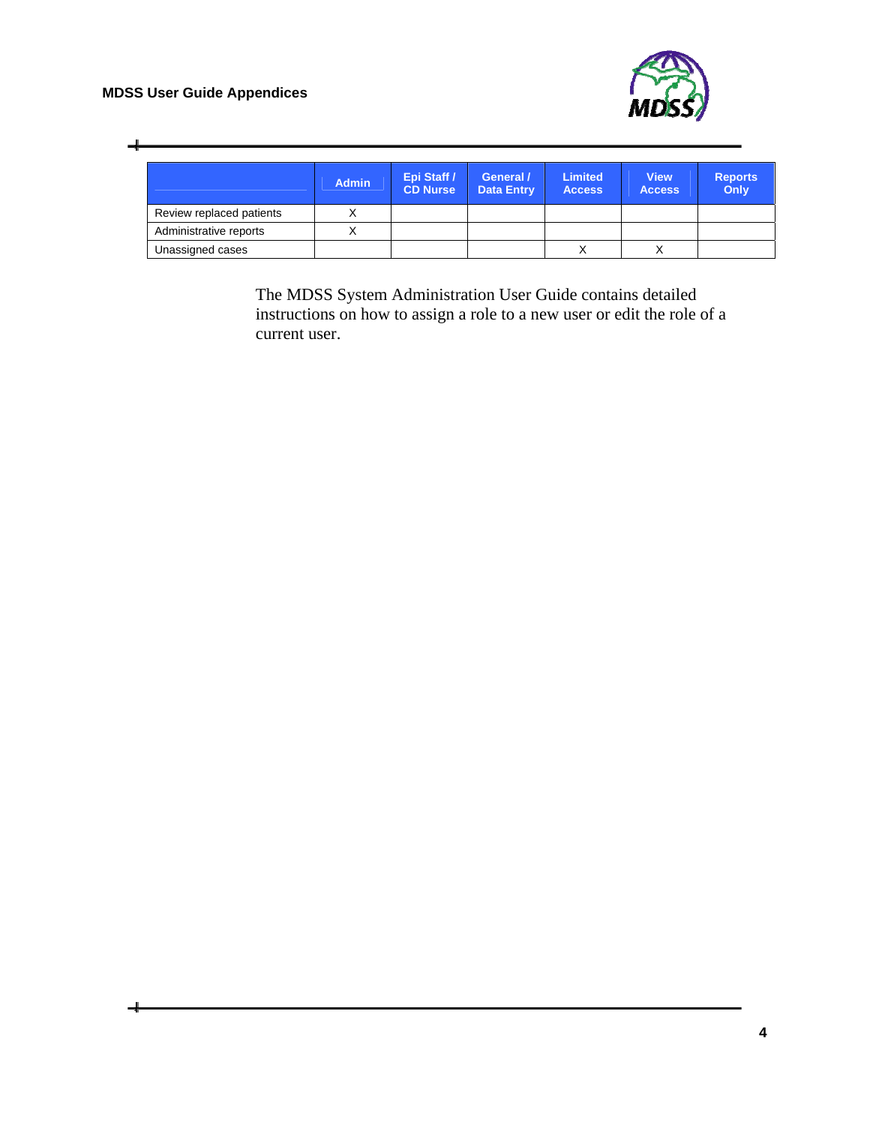#### **MDSS User Guide Appendices**



 $\overline{\phantom{a}}$ 

|                          | <b>Admin</b> | Epi Staff /<br><b>CD Nurse</b> | General /<br><b>Data Entry</b> | <b>Limited</b><br><b>Access</b> | View.<br><b>Access</b> | <b>Reports</b><br>Only |
|--------------------------|--------------|--------------------------------|--------------------------------|---------------------------------|------------------------|------------------------|
| Review replaced patients |              |                                |                                |                                 |                        |                        |
| Administrative reports   |              |                                |                                |                                 |                        |                        |
| Unassigned cases         |              |                                |                                |                                 |                        |                        |

The MDSS System Administration User Guide contains detailed instructions on how to assign a role to a new user or edit the role of a current user.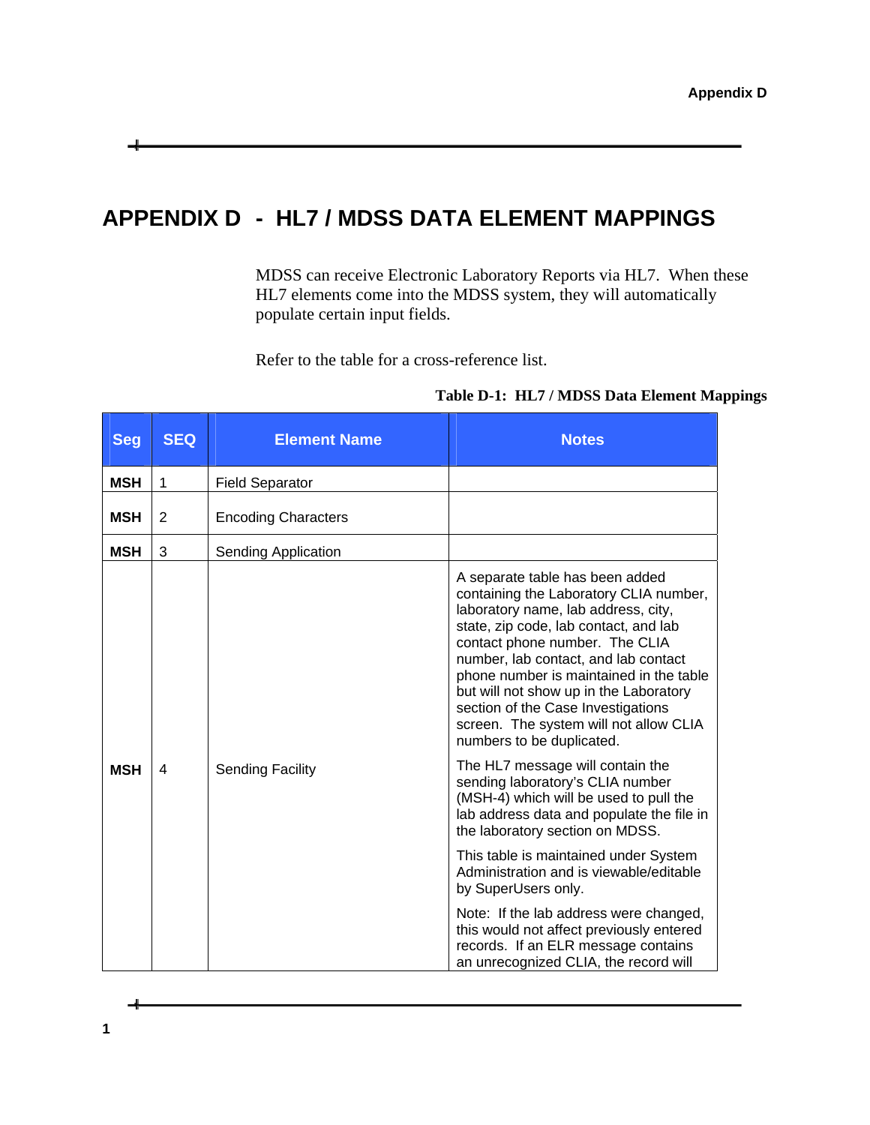# <span id="page-32-0"></span>**APPENDIX D - HL7 / MDSS DATA ELEMENT MAPPINGS**

MDSS can receive Electronic Laboratory Reports via HL7. When these HL7 elements come into the MDSS system, they will automatically populate certain input fields.

Refer to the table for a cross-reference list.

| Table D-1: HL7 / MDSS Data Element Mappings |  |  |  |  |  |
|---------------------------------------------|--|--|--|--|--|
|---------------------------------------------|--|--|--|--|--|

| <b>Seg</b> | <b>SEQ</b> | <b>Element Name</b>        | <b>Notes</b>                                                                                                                                                                                                                                                                                                                                                                                                                          |                                                                                                                                                                                                                                         |
|------------|------------|----------------------------|---------------------------------------------------------------------------------------------------------------------------------------------------------------------------------------------------------------------------------------------------------------------------------------------------------------------------------------------------------------------------------------------------------------------------------------|-----------------------------------------------------------------------------------------------------------------------------------------------------------------------------------------------------------------------------------------|
| <b>MSH</b> | 1          | <b>Field Separator</b>     |                                                                                                                                                                                                                                                                                                                                                                                                                                       |                                                                                                                                                                                                                                         |
| <b>MSH</b> | 2          | <b>Encoding Characters</b> |                                                                                                                                                                                                                                                                                                                                                                                                                                       |                                                                                                                                                                                                                                         |
| <b>MSH</b> | 3          | <b>Sending Application</b> |                                                                                                                                                                                                                                                                                                                                                                                                                                       |                                                                                                                                                                                                                                         |
|            |            |                            | A separate table has been added<br>containing the Laboratory CLIA number,<br>laboratory name, lab address, city,<br>state, zip code, lab contact, and lab<br>contact phone number. The CLIA<br>number, lab contact, and lab contact<br>phone number is maintained in the table<br>but will not show up in the Laboratory<br>section of the Case Investigations<br>screen. The system will not allow CLIA<br>numbers to be duplicated. |                                                                                                                                                                                                                                         |
| <b>MSH</b> | 4          |                            | <b>Sending Facility</b>                                                                                                                                                                                                                                                                                                                                                                                                               | The HL7 message will contain the<br>sending laboratory's CLIA number<br>(MSH-4) which will be used to pull the<br>lab address data and populate the file in<br>the laboratory section on MDSS.<br>This table is maintained under System |
|            |            |                            | Administration and is viewable/editable<br>by SuperUsers only.                                                                                                                                                                                                                                                                                                                                                                        |                                                                                                                                                                                                                                         |
|            |            |                            | Note: If the lab address were changed,<br>this would not affect previously entered<br>records. If an ELR message contains<br>an unrecognized CLIA, the record will                                                                                                                                                                                                                                                                    |                                                                                                                                                                                                                                         |

ᆠ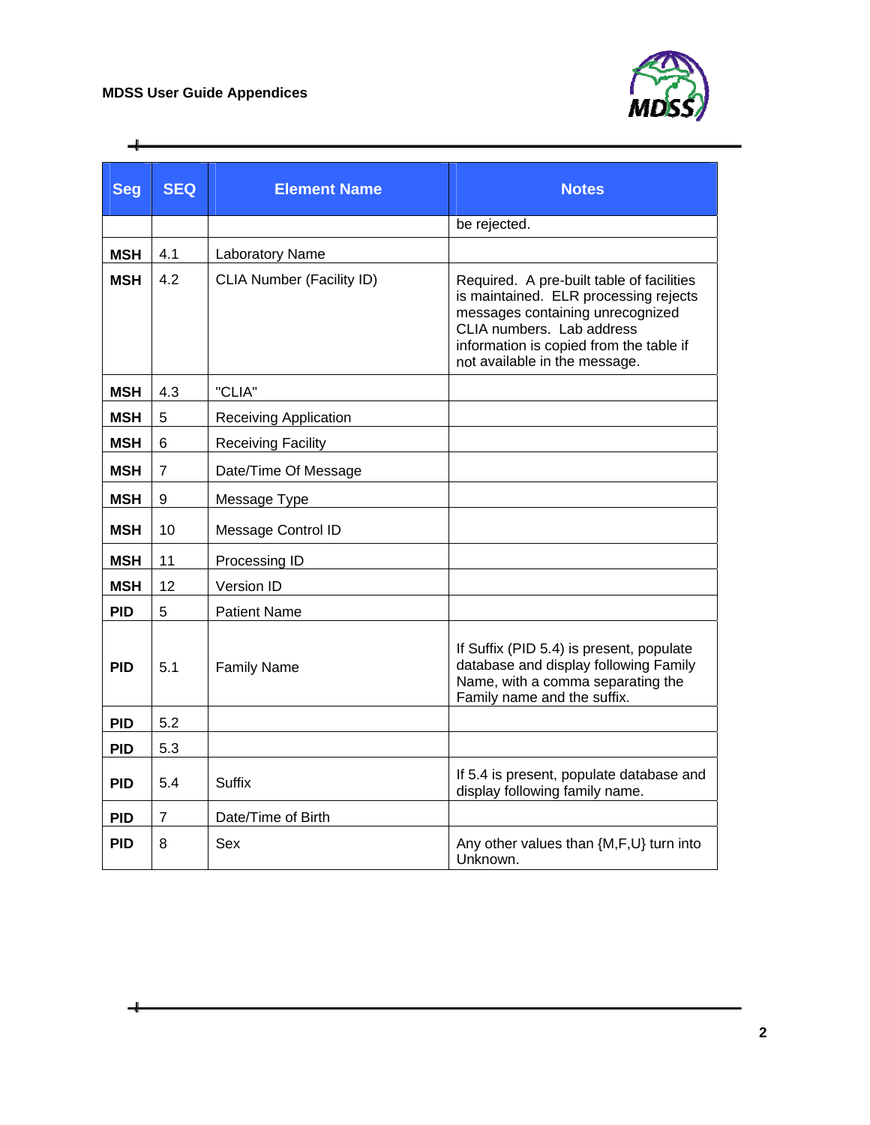$\div$ 



| <b>Seg</b> | <b>SEQ</b>     | <b>Element Name</b>              | <b>Notes</b>                                                                                                                                                                                                                    |
|------------|----------------|----------------------------------|---------------------------------------------------------------------------------------------------------------------------------------------------------------------------------------------------------------------------------|
|            |                |                                  | be rejected.                                                                                                                                                                                                                    |
| <b>MSH</b> | 4.1            | Laboratory Name                  |                                                                                                                                                                                                                                 |
| <b>MSH</b> | 4.2            | <b>CLIA Number (Facility ID)</b> | Required. A pre-built table of facilities<br>is maintained. ELR processing rejects<br>messages containing unrecognized<br>CLIA numbers. Lab address<br>information is copied from the table if<br>not available in the message. |
| <b>MSH</b> | 4.3            | "CLIA"                           |                                                                                                                                                                                                                                 |
| <b>MSH</b> | 5              | <b>Receiving Application</b>     |                                                                                                                                                                                                                                 |
| <b>MSH</b> | 6              | <b>Receiving Facility</b>        |                                                                                                                                                                                                                                 |
| <b>MSH</b> | $\overline{7}$ | Date/Time Of Message             |                                                                                                                                                                                                                                 |
| <b>MSH</b> | 9              | Message Type                     |                                                                                                                                                                                                                                 |
| <b>MSH</b> | 10             | Message Control ID               |                                                                                                                                                                                                                                 |
| <b>MSH</b> | 11             | Processing ID                    |                                                                                                                                                                                                                                 |
| <b>MSH</b> | 12             | Version ID                       |                                                                                                                                                                                                                                 |
| <b>PID</b> | 5              | <b>Patient Name</b>              |                                                                                                                                                                                                                                 |
| <b>PID</b> | 5.1            | <b>Family Name</b>               | If Suffix (PID 5.4) is present, populate<br>database and display following Family<br>Name, with a comma separating the<br>Family name and the suffix.                                                                           |
| <b>PID</b> | 5.2            |                                  |                                                                                                                                                                                                                                 |
| <b>PID</b> | 5.3            |                                  |                                                                                                                                                                                                                                 |
| <b>PID</b> | 5.4            | <b>Suffix</b>                    | If 5.4 is present, populate database and<br>display following family name.                                                                                                                                                      |
| <b>PID</b> | 7              | Date/Time of Birth               |                                                                                                                                                                                                                                 |
| <b>PID</b> | 8              | Sex                              | Any other values than {M,F,U} turn into<br>Unknown.                                                                                                                                                                             |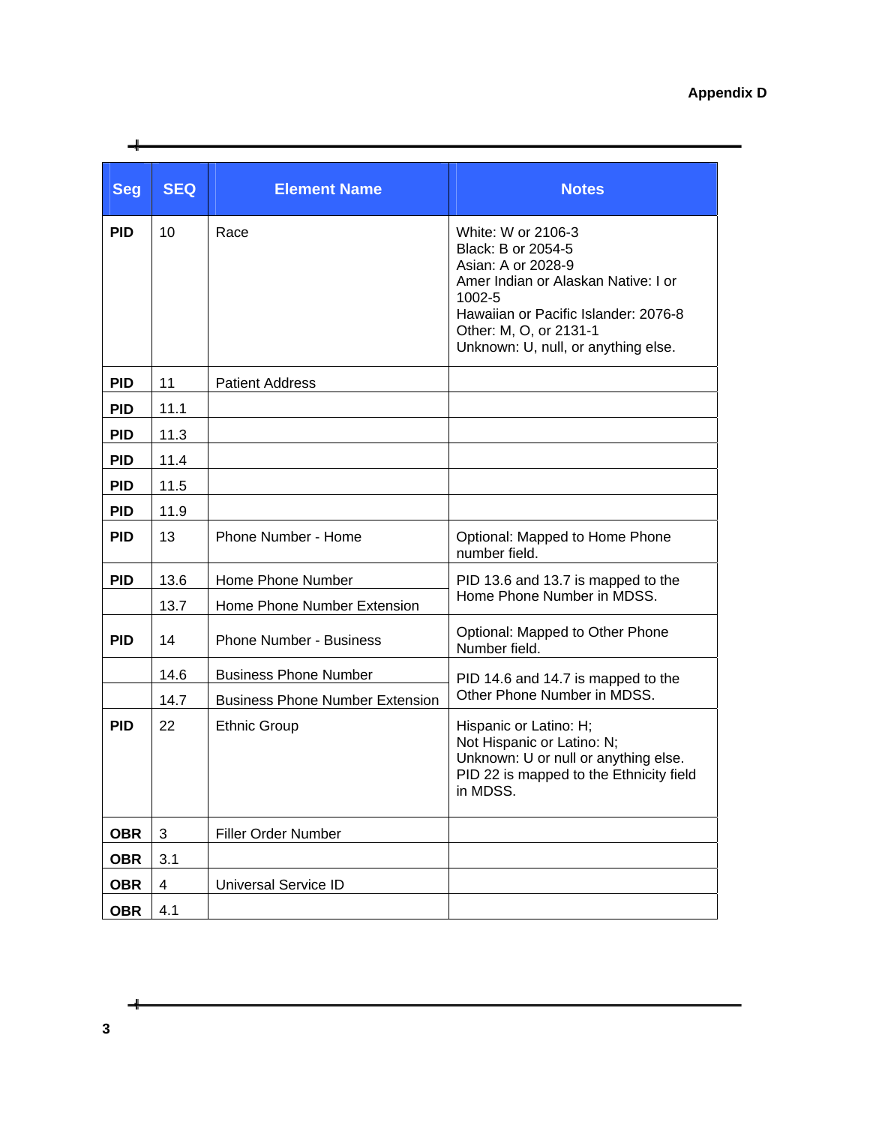| <b>Seg</b> | <b>SEQ</b> | <b>Element Name</b>                    | <b>Notes</b>                                                                                                                                                                                                             |
|------------|------------|----------------------------------------|--------------------------------------------------------------------------------------------------------------------------------------------------------------------------------------------------------------------------|
| <b>PID</b> | 10         | Race                                   | White: W or 2106-3<br>Black: B or 2054-5<br>Asian: A or 2028-9<br>Amer Indian or Alaskan Native: I or<br>1002-5<br>Hawaiian or Pacific Islander: 2076-8<br>Other: M, O, or 2131-1<br>Unknown: U, null, or anything else. |
| <b>PID</b> | 11         | <b>Patient Address</b>                 |                                                                                                                                                                                                                          |
| <b>PID</b> | 11.1       |                                        |                                                                                                                                                                                                                          |
| <b>PID</b> | 11.3       |                                        |                                                                                                                                                                                                                          |
| <b>PID</b> | 11.4       |                                        |                                                                                                                                                                                                                          |
| <b>PID</b> | 11.5       |                                        |                                                                                                                                                                                                                          |
| <b>PID</b> | 11.9       |                                        |                                                                                                                                                                                                                          |
| <b>PID</b> | 13         | Phone Number - Home                    | Optional: Mapped to Home Phone<br>number field.                                                                                                                                                                          |
| <b>PID</b> | 13.6       | Home Phone Number                      | PID 13.6 and 13.7 is mapped to the                                                                                                                                                                                       |
|            | 13.7       | Home Phone Number Extension            | Home Phone Number in MDSS.                                                                                                                                                                                               |
| <b>PID</b> | 14         | <b>Phone Number - Business</b>         | Optional: Mapped to Other Phone<br>Number field.                                                                                                                                                                         |
|            | 14.6       | <b>Business Phone Number</b>           | PID 14.6 and 14.7 is mapped to the                                                                                                                                                                                       |
|            | 14.7       | <b>Business Phone Number Extension</b> | Other Phone Number in MDSS.                                                                                                                                                                                              |
| <b>PID</b> | 22         | <b>Ethnic Group</b>                    | Hispanic or Latino: H;<br>Not Hispanic or Latino: N;<br>Unknown: U or null or anything else.<br>PID 22 is mapped to the Ethnicity field<br>in MDSS.                                                                      |
| <b>OBR</b> | 3          | Filler Order Number                    |                                                                                                                                                                                                                          |
| <b>OBR</b> | 3.1        |                                        |                                                                                                                                                                                                                          |
| <b>OBR</b> | 4          | <b>Universal Service ID</b>            |                                                                                                                                                                                                                          |
| <b>OBR</b> | 4.1        |                                        |                                                                                                                                                                                                                          |

ᆜ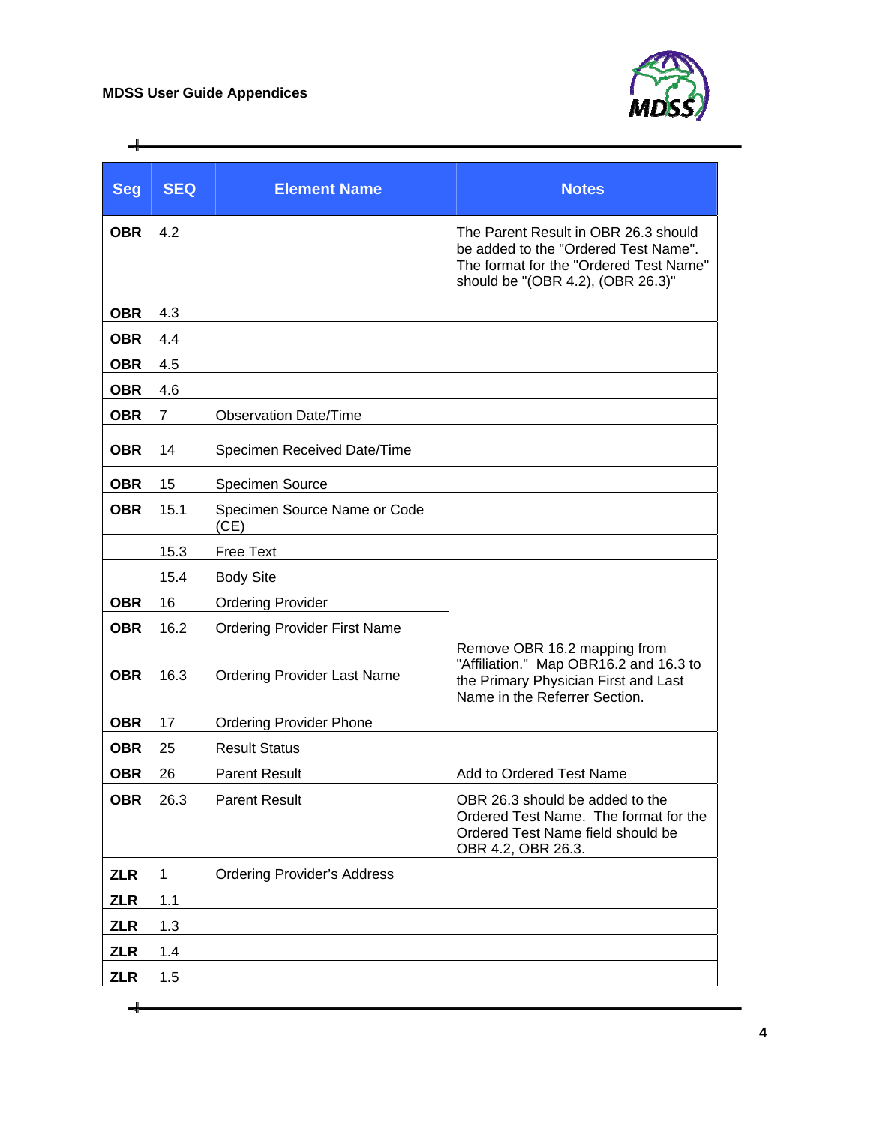$\div$ 



| <b>Seg</b> | <b>SEQ</b>     | <b>Element Name</b>                  | <b>Notes</b>                                                                                                                                                |
|------------|----------------|--------------------------------------|-------------------------------------------------------------------------------------------------------------------------------------------------------------|
| <b>OBR</b> | 4.2            |                                      | The Parent Result in OBR 26.3 should<br>be added to the "Ordered Test Name".<br>The format for the "Ordered Test Name"<br>should be "(OBR 4.2), (OBR 26.3)" |
| <b>OBR</b> | 4.3            |                                      |                                                                                                                                                             |
| <b>OBR</b> | 4.4            |                                      |                                                                                                                                                             |
| <b>OBR</b> | 4.5            |                                      |                                                                                                                                                             |
| <b>OBR</b> | 4.6            |                                      |                                                                                                                                                             |
| <b>OBR</b> | $\overline{7}$ | <b>Observation Date/Time</b>         |                                                                                                                                                             |
| <b>OBR</b> | 14             | Specimen Received Date/Time          |                                                                                                                                                             |
| <b>OBR</b> | 15             | <b>Specimen Source</b>               |                                                                                                                                                             |
| <b>OBR</b> | 15.1           | Specimen Source Name or Code<br>(CE) |                                                                                                                                                             |
|            | 15.3           | <b>Free Text</b>                     |                                                                                                                                                             |
|            | 15.4           | <b>Body Site</b>                     |                                                                                                                                                             |
| <b>OBR</b> | 16             | <b>Ordering Provider</b>             |                                                                                                                                                             |
| <b>OBR</b> | 16.2           | <b>Ordering Provider First Name</b>  |                                                                                                                                                             |
| <b>OBR</b> | 16.3           | <b>Ordering Provider Last Name</b>   | Remove OBR 16.2 mapping from<br>"Affiliation." Map OBR16.2 and 16.3 to<br>the Primary Physician First and Last<br>Name in the Referrer Section.             |
| <b>OBR</b> | 17             | <b>Ordering Provider Phone</b>       |                                                                                                                                                             |
| <b>OBR</b> | 25             | <b>Result Status</b>                 |                                                                                                                                                             |
| <b>OBR</b> | 26             | <b>Parent Result</b>                 | Add to Ordered Test Name                                                                                                                                    |
| <b>OBR</b> | 26.3           | <b>Parent Result</b>                 | OBR 26.3 should be added to the<br>Ordered Test Name. The format for the<br>Ordered Test Name field should be<br>OBR 4.2, OBR 26.3.                         |
| <b>ZLR</b> | 1              | <b>Ordering Provider's Address</b>   |                                                                                                                                                             |
| <b>ZLR</b> | 1.1            |                                      |                                                                                                                                                             |
| <b>ZLR</b> | 1.3            |                                      |                                                                                                                                                             |
| <b>ZLR</b> | 1.4            |                                      |                                                                                                                                                             |
| <b>ZLR</b> | 1.5            |                                      |                                                                                                                                                             |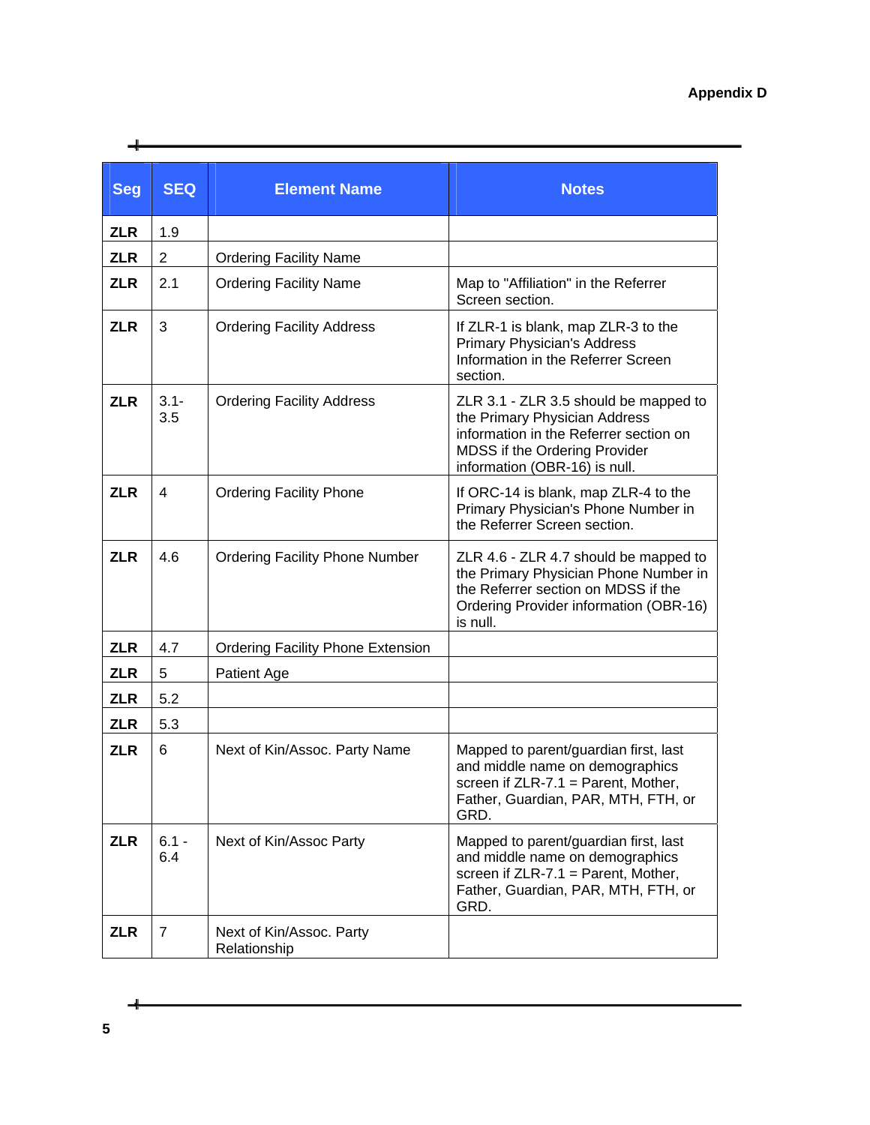| <b>Seg</b> | <b>SEQ</b>     | <b>Element Name</b>                      | <b>Notes</b>                                                                                                                                                                       |
|------------|----------------|------------------------------------------|------------------------------------------------------------------------------------------------------------------------------------------------------------------------------------|
| <b>ZLR</b> | 1.9            |                                          |                                                                                                                                                                                    |
| <b>ZLR</b> | 2              | <b>Ordering Facility Name</b>            |                                                                                                                                                                                    |
| <b>ZLR</b> | 2.1            | <b>Ordering Facility Name</b>            | Map to "Affiliation" in the Referrer<br>Screen section.                                                                                                                            |
| <b>ZLR</b> | 3              | <b>Ordering Facility Address</b>         | If ZLR-1 is blank, map ZLR-3 to the<br><b>Primary Physician's Address</b><br>Information in the Referrer Screen<br>section.                                                        |
| <b>ZLR</b> | $3.1 -$<br>3.5 | <b>Ordering Facility Address</b>         | ZLR 3.1 - ZLR 3.5 should be mapped to<br>the Primary Physician Address<br>information in the Referrer section on<br>MDSS if the Ordering Provider<br>information (OBR-16) is null. |
| <b>ZLR</b> | 4              | <b>Ordering Facility Phone</b>           | If ORC-14 is blank, map ZLR-4 to the<br>Primary Physician's Phone Number in<br>the Referrer Screen section.                                                                        |
| <b>ZLR</b> | 4.6            | <b>Ordering Facility Phone Number</b>    | ZLR 4.6 - ZLR 4.7 should be mapped to<br>the Primary Physician Phone Number in<br>the Referrer section on MDSS if the<br>Ordering Provider information (OBR-16)<br>is null.        |
| <b>ZLR</b> | 4.7            | <b>Ordering Facility Phone Extension</b> |                                                                                                                                                                                    |
| <b>ZLR</b> | 5              | Patient Age                              |                                                                                                                                                                                    |
| <b>ZLR</b> | 5.2            |                                          |                                                                                                                                                                                    |
| <b>ZLR</b> | 5.3            |                                          |                                                                                                                                                                                    |
| <b>ZLR</b> | 6              | Next of Kin/Assoc. Party Name            | Mapped to parent/guardian first, last<br>and middle name on demographics<br>screen if $ZLR-7.1$ = Parent, Mother,<br>Father, Guardian, PAR, MTH, FTH, or<br>GRD.                   |
| <b>ZLR</b> | $6.1 -$<br>6.4 | Next of Kin/Assoc Party                  | Mapped to parent/guardian first, last<br>and middle name on demographics<br>screen if $ZLR-7.1 = Parent$ , Mother,<br>Father, Guardian, PAR, MTH, FTH, or<br>GRD.                  |
| <b>ZLR</b> | 7              | Next of Kin/Assoc. Party<br>Relationship |                                                                                                                                                                                    |

ᆛ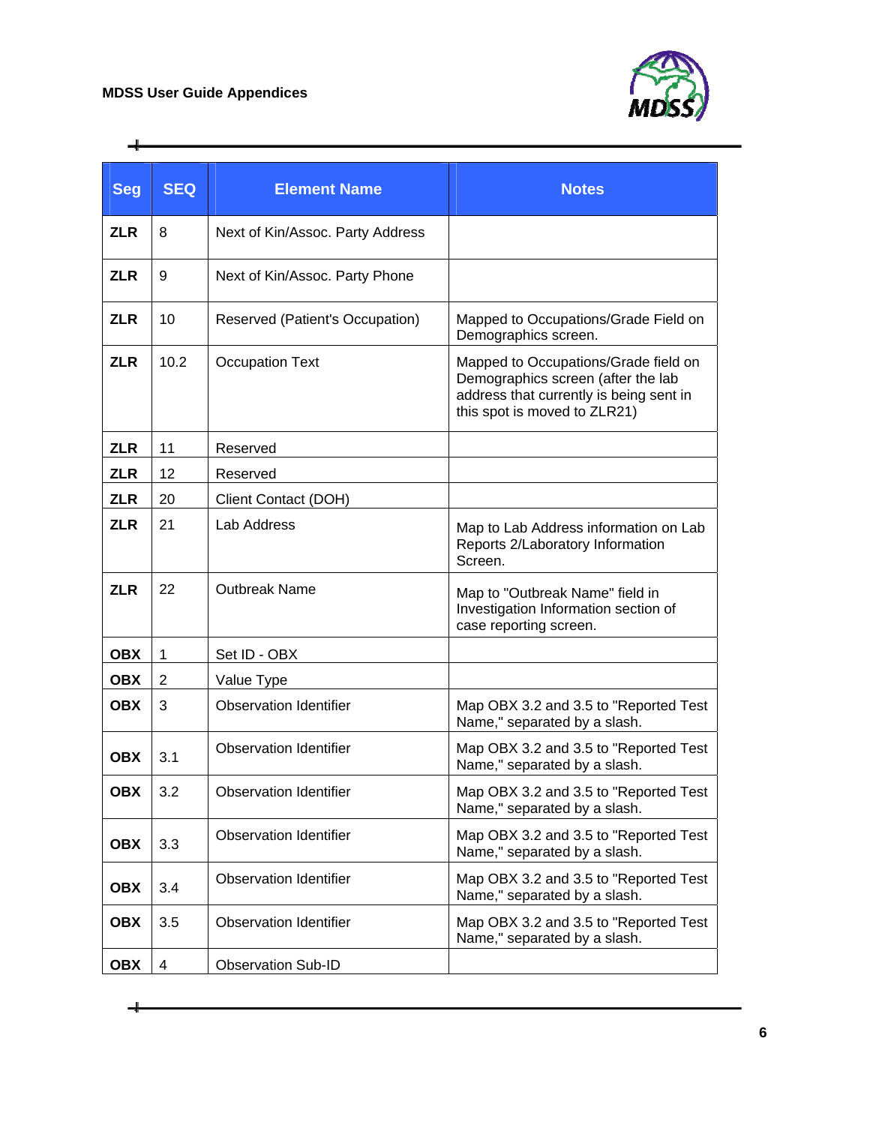$\div$ 



| <b>Seg</b> | <b>SEQ</b> | <b>Element Name</b>              | <b>Notes</b>                                                                                                                                          |
|------------|------------|----------------------------------|-------------------------------------------------------------------------------------------------------------------------------------------------------|
| <b>ZLR</b> | 8          | Next of Kin/Assoc. Party Address |                                                                                                                                                       |
| <b>ZLR</b> | 9          | Next of Kin/Assoc. Party Phone   |                                                                                                                                                       |
| <b>ZLR</b> | 10         | Reserved (Patient's Occupation)  | Mapped to Occupations/Grade Field on<br>Demographics screen.                                                                                          |
| <b>ZLR</b> | 10.2       | <b>Occupation Text</b>           | Mapped to Occupations/Grade field on<br>Demographics screen (after the lab<br>address that currently is being sent in<br>this spot is moved to ZLR21) |
| <b>ZLR</b> | 11         | Reserved                         |                                                                                                                                                       |
| <b>ZLR</b> | 12         | Reserved                         |                                                                                                                                                       |
| <b>ZLR</b> | 20         | Client Contact (DOH)             |                                                                                                                                                       |
| <b>ZLR</b> | 21         | Lab Address                      | Map to Lab Address information on Lab<br>Reports 2/Laboratory Information<br>Screen.                                                                  |
| <b>ZLR</b> | 22         | <b>Outbreak Name</b>             | Map to "Outbreak Name" field in<br>Investigation Information section of<br>case reporting screen.                                                     |
| <b>OBX</b> | 1          | Set ID - OBX                     |                                                                                                                                                       |
| <b>OBX</b> | 2          | Value Type                       |                                                                                                                                                       |
| <b>OBX</b> | 3          | <b>Observation Identifier</b>    | Map OBX 3.2 and 3.5 to "Reported Test<br>Name," separated by a slash.                                                                                 |
| <b>OBX</b> | 3.1        | <b>Observation Identifier</b>    | Map OBX 3.2 and 3.5 to "Reported Test<br>Name," separated by a slash.                                                                                 |
| <b>OBX</b> | 3.2        | <b>Observation Identifier</b>    | Map OBX 3.2 and 3.5 to "Reported Test<br>Name," separated by a slash.                                                                                 |
| <b>OBX</b> | 3.3        | <b>Observation Identifier</b>    | Map OBX 3.2 and 3.5 to "Reported Test<br>Name," separated by a slash.                                                                                 |
| <b>OBX</b> | 3.4        | <b>Observation Identifier</b>    | Map OBX 3.2 and 3.5 to "Reported Test<br>Name," separated by a slash.                                                                                 |
| <b>OBX</b> | 3.5        | <b>Observation Identifier</b>    | Map OBX 3.2 and 3.5 to "Reported Test<br>Name," separated by a slash.                                                                                 |
| <b>OBX</b> | 4          | <b>Observation Sub-ID</b>        |                                                                                                                                                       |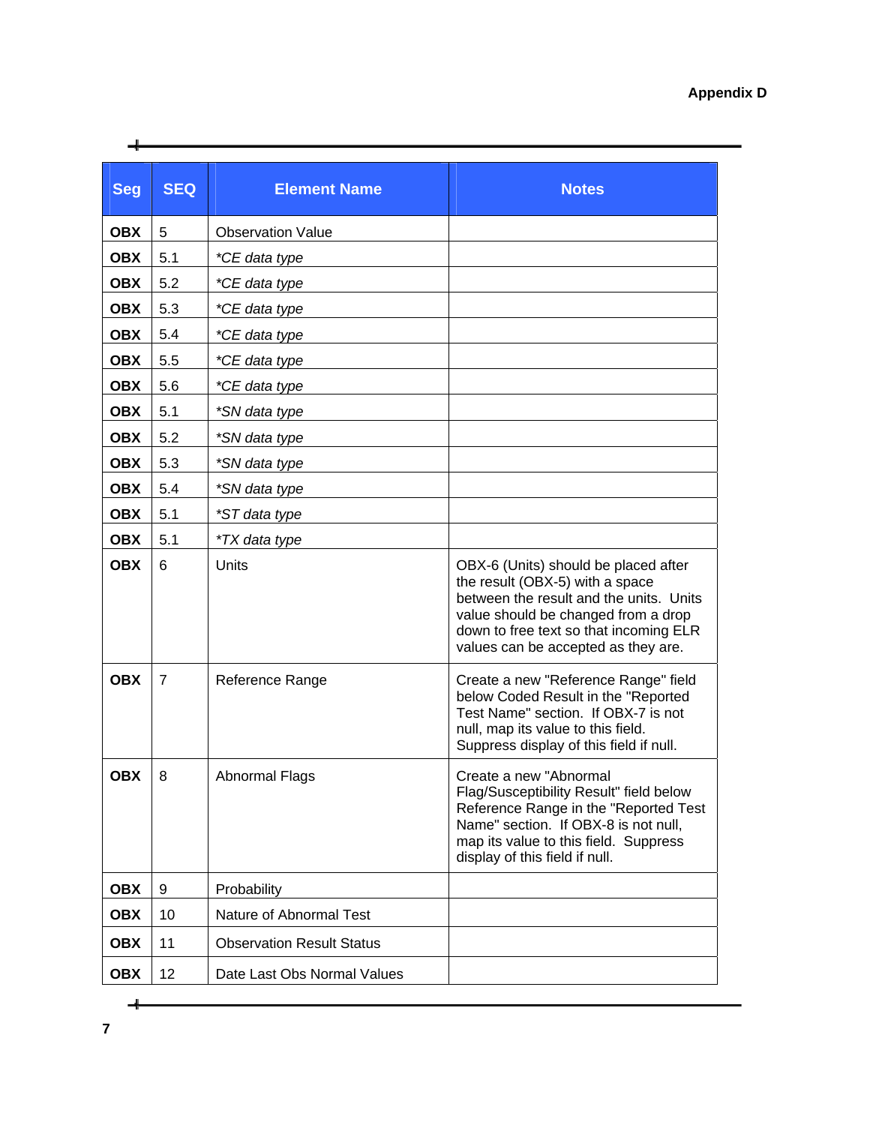| <b>Seg</b> | <b>SEQ</b>     | <b>Element Name</b>              | <b>Notes</b>                                                                                                                                                                                                                               |
|------------|----------------|----------------------------------|--------------------------------------------------------------------------------------------------------------------------------------------------------------------------------------------------------------------------------------------|
| <b>OBX</b> | 5              | <b>Observation Value</b>         |                                                                                                                                                                                                                                            |
| <b>OBX</b> | 5.1            | *CE data type                    |                                                                                                                                                                                                                                            |
| <b>OBX</b> | 5.2            | *CE data type                    |                                                                                                                                                                                                                                            |
| <b>OBX</b> | 5.3            | *CE data type                    |                                                                                                                                                                                                                                            |
| <b>OBX</b> | 5.4            | *CE data type                    |                                                                                                                                                                                                                                            |
| <b>OBX</b> | 5.5            | *CE data type                    |                                                                                                                                                                                                                                            |
| <b>OBX</b> | 5.6            | *CE data type                    |                                                                                                                                                                                                                                            |
| <b>OBX</b> | 5.1            | *SN data type                    |                                                                                                                                                                                                                                            |
| <b>OBX</b> | 5.2            | *SN data type                    |                                                                                                                                                                                                                                            |
| <b>OBX</b> | 5.3            | *SN data type                    |                                                                                                                                                                                                                                            |
| <b>OBX</b> | 5.4            | *SN data type                    |                                                                                                                                                                                                                                            |
| <b>OBX</b> | 5.1            | *ST data type                    |                                                                                                                                                                                                                                            |
| <b>OBX</b> | 5.1            | <i>*TX</i> data type             |                                                                                                                                                                                                                                            |
| <b>OBX</b> | 6              | <b>Units</b>                     | OBX-6 (Units) should be placed after<br>the result (OBX-5) with a space<br>between the result and the units. Units<br>value should be changed from a drop<br>down to free text so that incoming ELR<br>values can be accepted as they are. |
| <b>OBX</b> | $\overline{7}$ | Reference Range                  | Create a new "Reference Range" field<br>below Coded Result in the "Reported<br>Test Name" section. If OBX-7 is not<br>null, map its value to this field.<br>Suppress display of this field if null.                                        |
| <b>OBX</b> | 8              | <b>Abnormal Flags</b>            | Create a new "Abnormal<br>Flag/Susceptibility Result" field below<br>Reference Range in the "Reported Test<br>Name" section. If OBX-8 is not null,<br>map its value to this field. Suppress<br>display of this field if null.              |
| <b>OBX</b> | 9              | Probability                      |                                                                                                                                                                                                                                            |
| <b>OBX</b> | 10             | Nature of Abnormal Test          |                                                                                                                                                                                                                                            |
| <b>OBX</b> | 11             | <b>Observation Result Status</b> |                                                                                                                                                                                                                                            |
| <b>OBX</b> | 12             | Date Last Obs Normal Values      |                                                                                                                                                                                                                                            |

ᆛ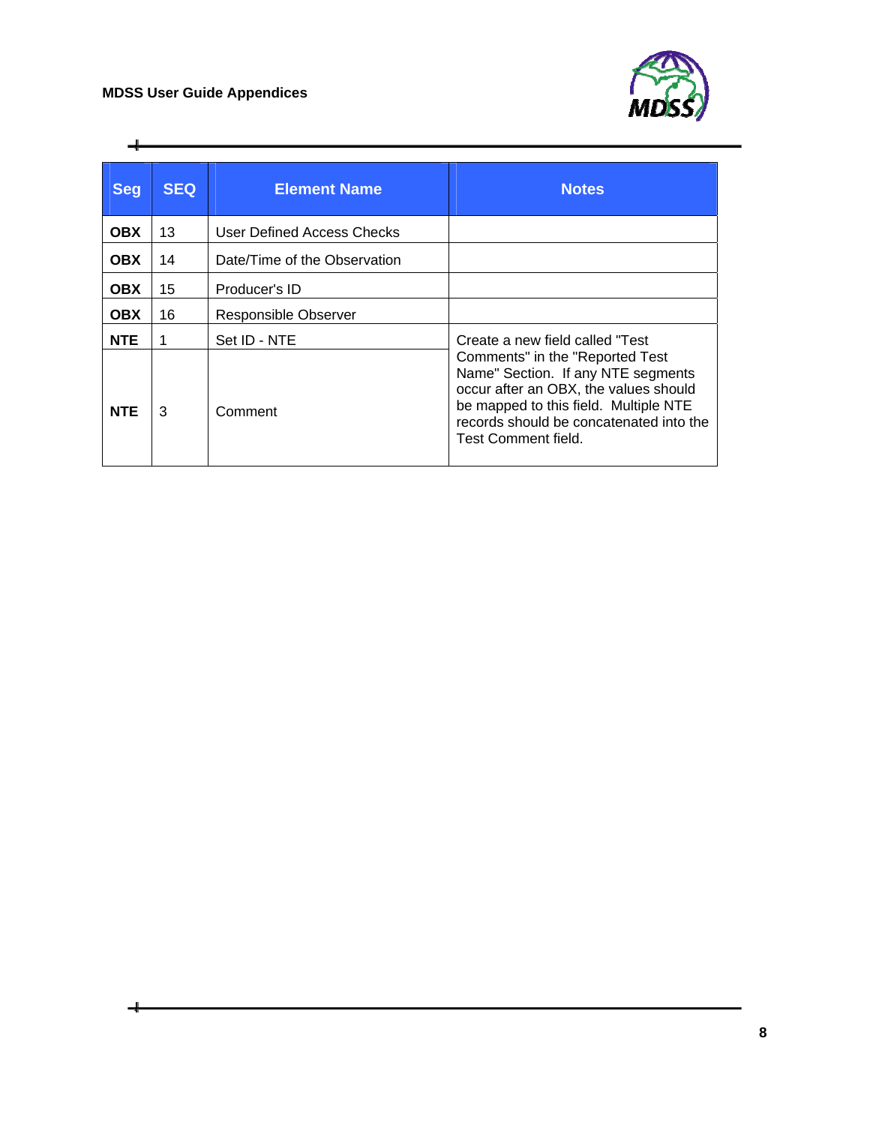

| <b>Seg</b> | <b>SEQ</b> | <b>Element Name</b>          | <b>Notes</b>                                                                                                                                                                                                              |
|------------|------------|------------------------------|---------------------------------------------------------------------------------------------------------------------------------------------------------------------------------------------------------------------------|
| <b>OBX</b> | 13         | User Defined Access Checks   |                                                                                                                                                                                                                           |
| <b>OBX</b> | 14         | Date/Time of the Observation |                                                                                                                                                                                                                           |
| <b>OBX</b> | 15         | Producer's ID                |                                                                                                                                                                                                                           |
| <b>OBX</b> | 16         | Responsible Observer         |                                                                                                                                                                                                                           |
| <b>NTE</b> |            | Set ID - NTE                 | Create a new field called "Test"                                                                                                                                                                                          |
| <b>NTE</b> | 3          | Comment                      | Comments" in the "Reported Test<br>Name" Section. If any NTE segments<br>occur after an OBX, the values should<br>be mapped to this field. Multiple NTE<br>records should be concatenated into the<br>Test Comment field. |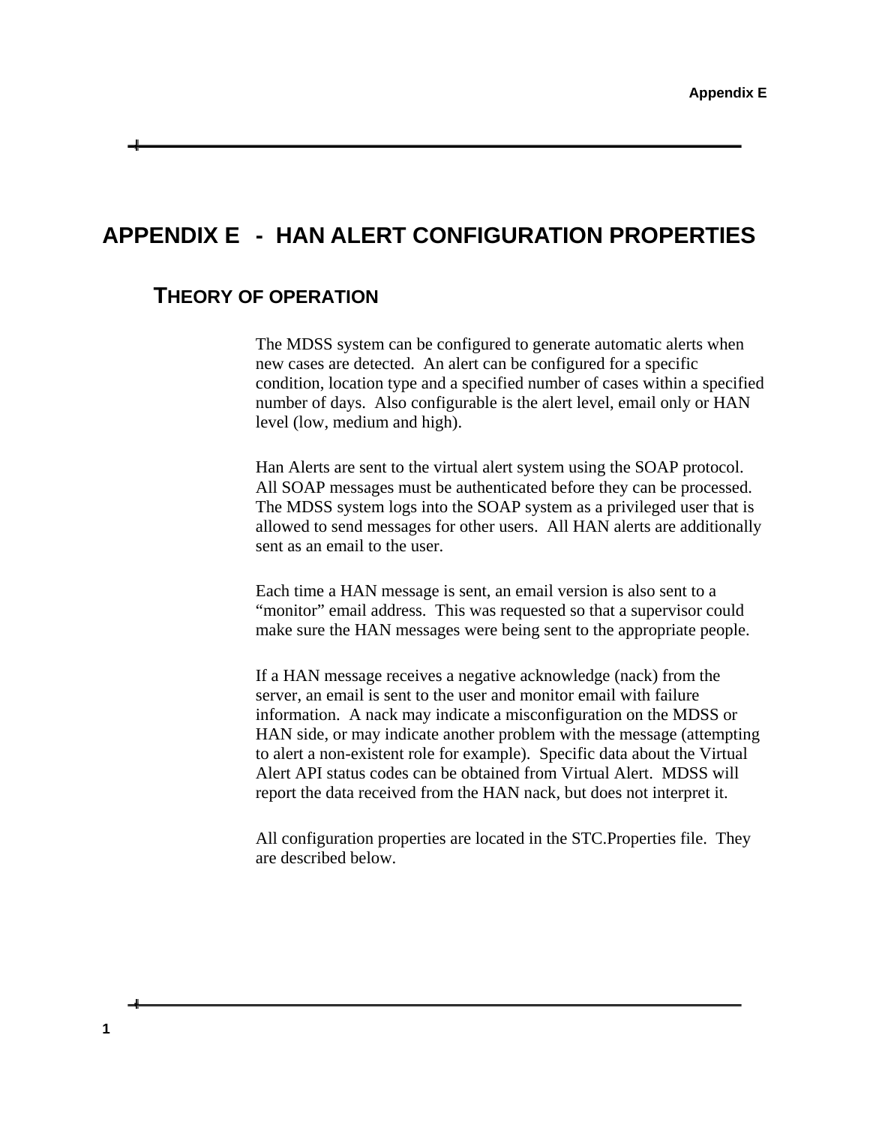## <span id="page-40-1"></span><span id="page-40-0"></span>**APPENDIX E - HAN ALERT CONFIGURATION PROPERTIES**

#### **THEORY OF OPERATION**

The MDSS system can be configured to generate automatic alerts when new cases are detected. An alert can be configured for a specific condition, location type and a specified number of cases within a specified number of days. Also configurable is the alert level, email only or HAN level (low, medium and high).

Han Alerts are sent to the virtual alert system using the SOAP protocol. All SOAP messages must be authenticated before they can be processed. The MDSS system logs into the SOAP system as a privileged user that is allowed to send messages for other users. All HAN alerts are additionally sent as an email to the user.

Each time a HAN message is sent, an email version is also sent to a "monitor" email address. This was requested so that a supervisor could make sure the HAN messages were being sent to the appropriate people.

If a HAN message receives a negative acknowledge (nack) from the server, an email is sent to the user and monitor email with failure information. A nack may indicate a misconfiguration on the MDSS or HAN side, or may indicate another problem with the message (attempting to alert a non-existent role for example). Specific data about the Virtual Alert API status codes can be obtained from Virtual Alert. MDSS will report the data received from the HAN nack, but does not interpret it.

All configuration properties are located in the STC.Properties file. They are described below.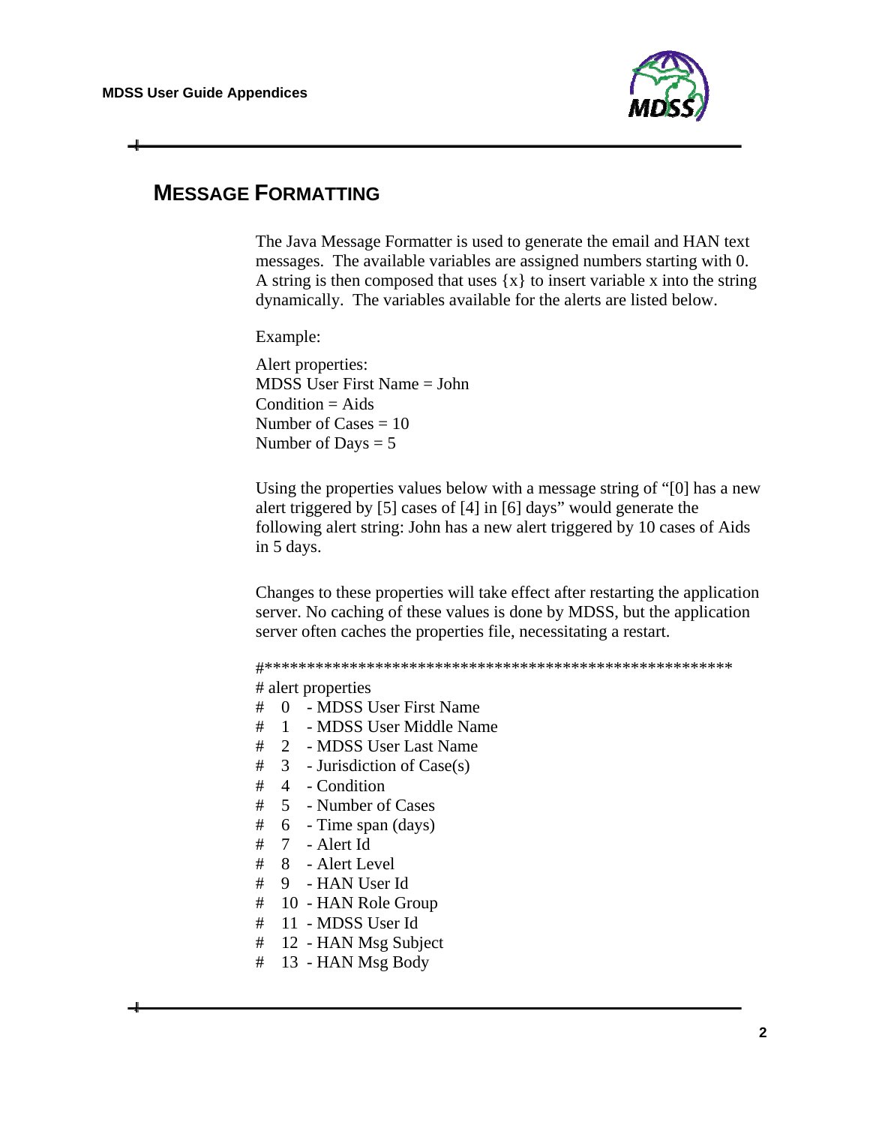

## <span id="page-41-0"></span> **MESSAGE FORMATTING**

The Java Message Formatter is used to generate the email and HAN text messages. The available variables are assigned numbers starting with 0. A string is then composed that uses  $\{x\}$  to insert variable x into the string dynamically. The variables available for the alerts are listed below.

Example:

Alert properties: MDSS User First Name = John  $Condition = Aids$ Number of  $\text{Case} = 10$ Number of Days  $= 5$ 

Using the properties values below with a message string of "[0] has a new alert triggered by [5] cases of [4] in [6] days" would generate the following alert string: John has a new alert triggered by 10 cases of Aids in 5 days.

Changes to these properties will take effect after restarting the application server. No caching of these values is done by MDSS, but the application server often caches the properties file, necessitating a restart.

#\*\*\*\*\*\*\*\*\*\*\*\*\*\*\*\*\*\*\*\*\*\*\*\*\*\*\*\*\*\*\*\*\*\*\*\*\*\*\*\*\*\*\*\*\*\*\*\*\*\*\*\*\*\*\*

# alert properties

- # 0 MDSS User First Name
- # 1 MDSS User Middle Name
- # 2 MDSS User Last Name
- $\#$  3 Jurisdiction of Case(s)
- # 4 Condition
- # 5 Number of Cases
- $\#$  6 Time span (days)
- # 7 Alert Id
- # 8 Alert Level
- # 9 HAN User Id
- # 10 HAN Role Group
- # 11 MDSS User Id
- # 12 HAN Msg Subject
- # 13 HAN Msg Body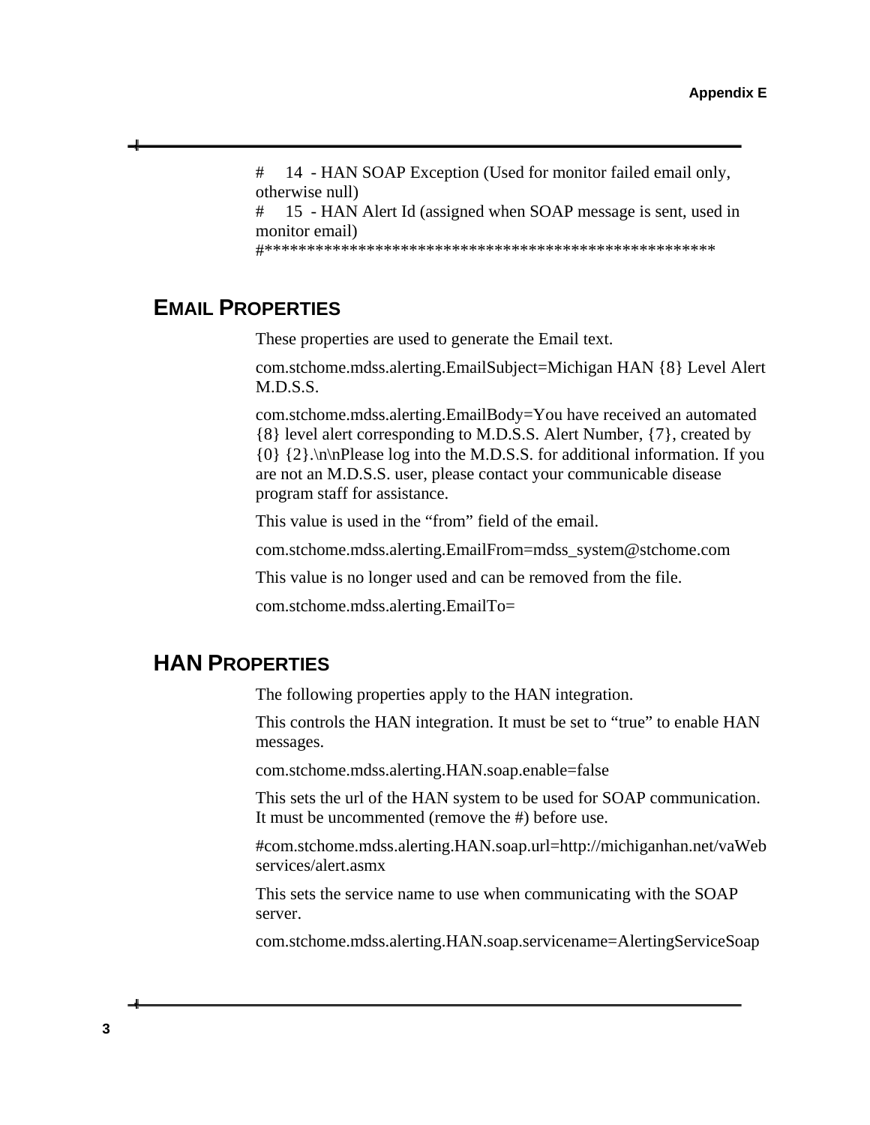# 14 - HAN SOAP Exception (Used for monitor failed email only, otherwise null) # 15 - HAN Alert Id (assigned when SOAP message is sent, used in monitor email)

#\*\*\*\*\*\*\*\*\*\*\*\*\*\*\*\*\*\*\*\*\*\*\*\*\*\*\*\*\*\*\*\*\*\*\*\*\*\*\*\*\*\*\*\*\*\*\*\*\*\*\*\*\*

### <span id="page-42-0"></span> **EMAIL PROPERTIES**

These properties are used to generate the Email text.

com.stchome.mdss.alerting.EmailSubject=Michigan HAN {8} Level Alert M.D.S.S.

com.stchome.mdss.alerting.EmailBody=You have received an automated {8} level alert corresponding to M.D.S.S. Alert Number, {7}, created by {0} {2}.\n\nPlease log into the M.D.S.S. for additional information. If you are not an M.D.S.S. user, please contact your communicable disease program staff for assistance.

This value is used in the "from" field of the email.

com.stchome.mdss.alerting.EmailFrom=mdss\_system@stchome.com

This value is no longer used and can be removed from the file.

com.stchome.mdss.alerting.EmailTo=

### <span id="page-42-1"></span>**HAN PROPERTIES**

The following properties apply to the HAN integration.

This controls the HAN integration. It must be set to "true" to enable HAN messages.

com.stchome.mdss.alerting.HAN.soap.enable=false

This sets the url of the HAN system to be used for SOAP communication. It must be uncommented (remove the #) before use.

#com.stchome.mdss.alerting.HAN.soap.url=http://michiganhan.net/vaWeb services/alert.asmx

This sets the service name to use when communicating with the SOAP server.

com.stchome.mdss.alerting.HAN.soap.servicename=AlertingServiceSoap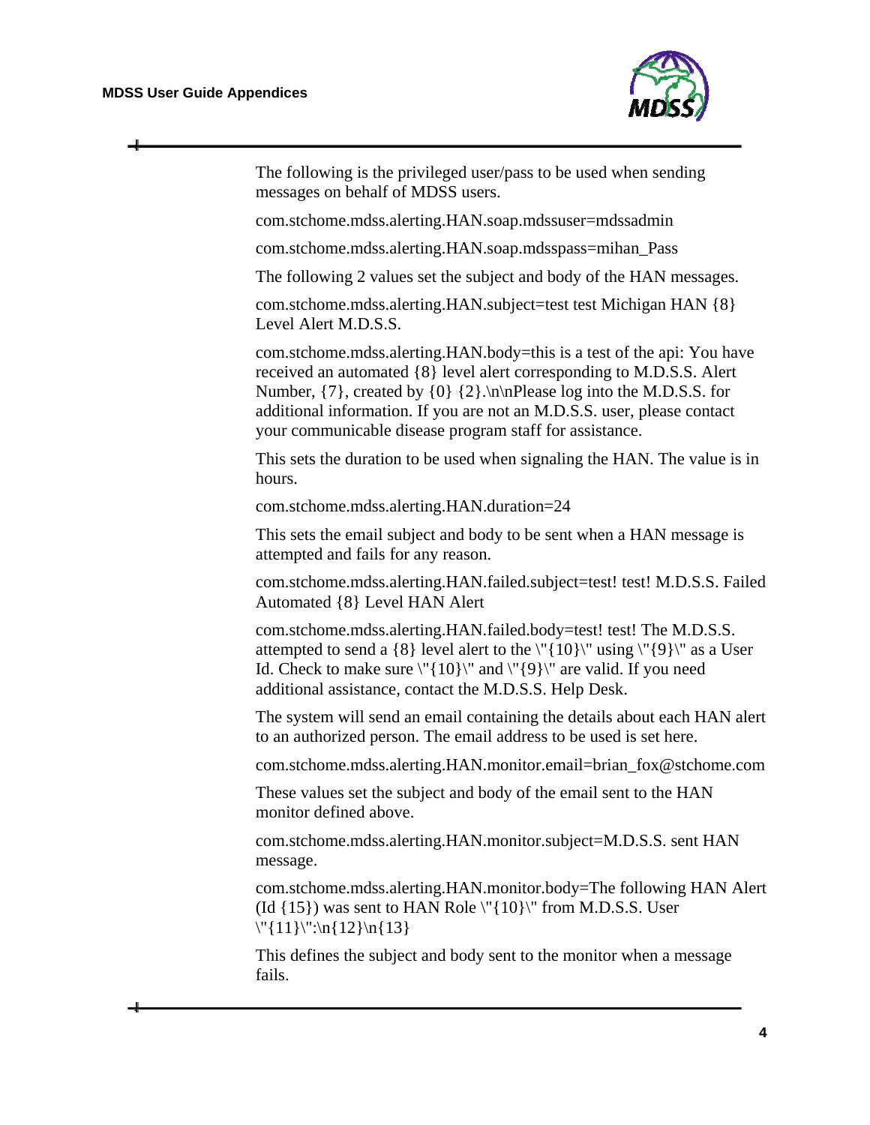$\div$ 



| The following is the privileged user/pass to be used when sending<br>messages on behalf of MDSS users.                                                                                                                                                                                                                                                                      |
|-----------------------------------------------------------------------------------------------------------------------------------------------------------------------------------------------------------------------------------------------------------------------------------------------------------------------------------------------------------------------------|
| com.stchome.mdss.alerting.HAN.soap.mdssuser=mdssadmin                                                                                                                                                                                                                                                                                                                       |
| com.stchome.mdss.alerting.HAN.soap.mdsspass=mihan_Pass                                                                                                                                                                                                                                                                                                                      |
| The following 2 values set the subject and body of the HAN messages.                                                                                                                                                                                                                                                                                                        |
| com.stchome.mdss.alerting.HAN.subject=test test Michigan HAN {8}<br>Level Alert M.D.S.S.                                                                                                                                                                                                                                                                                    |
| com.stchome.mdss.alerting.HAN.body=this is a test of the api: You have<br>received an automated {8} level alert corresponding to M.D.S.S. Alert<br>Number, $\{7\}$ , created by $\{0\}$ $\{2\}$ . In Please log into the M.D.S.S. for<br>additional information. If you are not an M.D.S.S. user, please contact<br>your communicable disease program staff for assistance. |
| This sets the duration to be used when signaling the HAN. The value is in<br>hours.                                                                                                                                                                                                                                                                                         |
| com.stchome.mdss.alerting.HAN.duration=24                                                                                                                                                                                                                                                                                                                                   |
| This sets the email subject and body to be sent when a HAN message is<br>attempted and fails for any reason.                                                                                                                                                                                                                                                                |
| com.stchome.mdss.alerting.HAN.failed.subject=test! test! M.D.S.S. Failed<br>Automated {8} Level HAN Alert                                                                                                                                                                                                                                                                   |
| com.stchome.mdss.alerting.HAN.failed.body=test! test! The M.D.S.S.<br>attempted to send a $\{8\}$ level alert to the $\T{10}\}'$ using $\T{9}\'$ as a User<br>Id. Check to make sure $\langle$ "{10}}" and $\langle$ "{9}}" are valid. If you need<br>additional assistance, contact the M.D.S.S. Help Desk.                                                                |
| The system will send an email containing the details about each HAN alert<br>to an authorized person. The email address to be used is set here.                                                                                                                                                                                                                             |
| com.stchome.mdss.alerting.HAN.monitor.email=brian_fox@stchome.com                                                                                                                                                                                                                                                                                                           |
| These values set the subject and body of the email sent to the HAN<br>monitor defined above.                                                                                                                                                                                                                                                                                |
| com.stchome.mdss.alerting.HAN.monitor.subject=M.D.S.S. sent HAN<br>message.                                                                                                                                                                                                                                                                                                 |
| com.stchome.mdss.alerting.HAN.monitor.body=The following HAN Alert<br>(Id {15}) was sent to HAN Role \"{10}\" from M.D.S.S. User<br>$\{\{11\}\}'':\n{12}\n{n{13}$                                                                                                                                                                                                           |
| This defines the subject and body sent to the monitor when a message<br>fails.                                                                                                                                                                                                                                                                                              |
|                                                                                                                                                                                                                                                                                                                                                                             |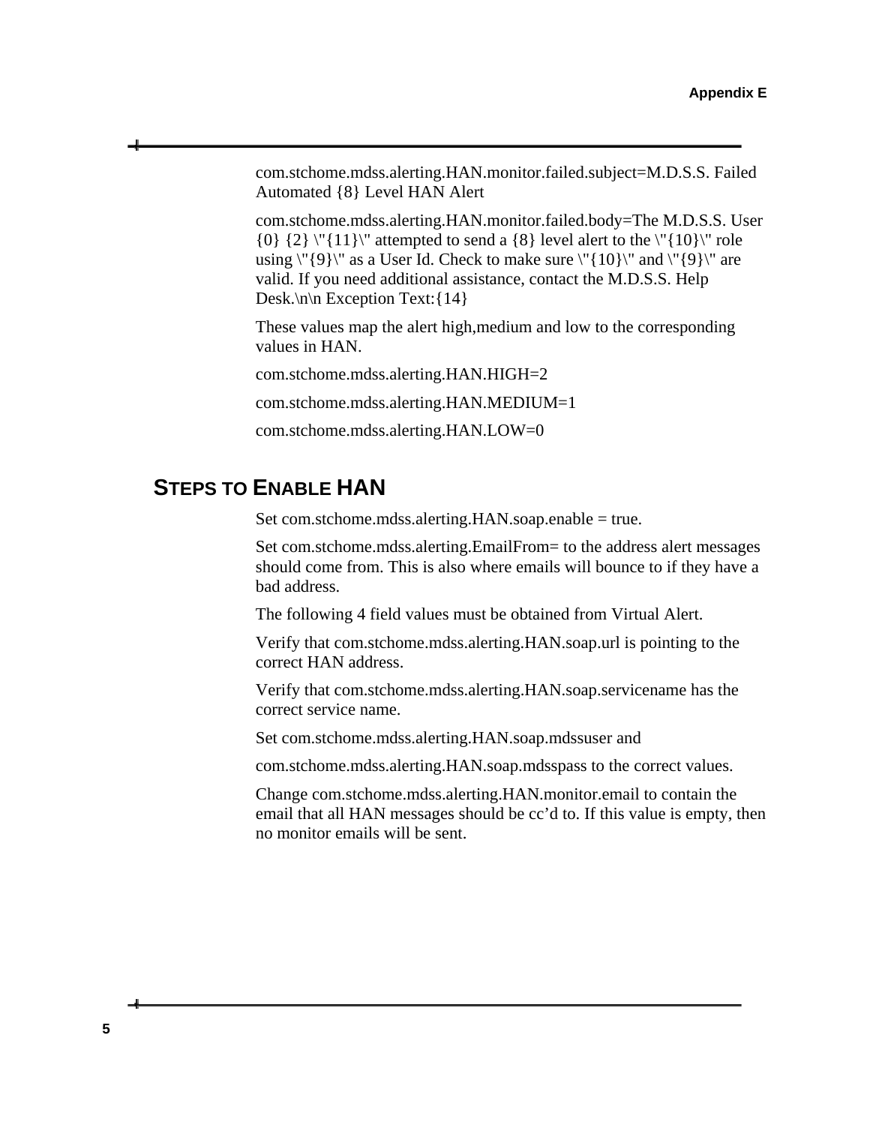com.stchome.mdss.alerting.HAN.monitor.failed.subject=M.D.S.S. Failed Automated {8} Level HAN Alert

com.stchome.mdss.alerting.HAN.monitor.failed.body=The M.D.S.S. User  $\{0\}$   $\{2\}$  \" $\{11\}$  attempted to send a  $\{8\}$  level alert to the \" $\{10\}$  role using  $\{\{9\}\}'$  as a User Id. Check to make sure  $\{\{10\}\}'$  and  $\{\{9\}\}'$  are valid. If you need additional assistance, contact the M.D.S.S. Help Desk. $\ln\left|n\right|$  Exception Text: {14}

These values map the alert high,medium and low to the corresponding values in HAN.

com.stchome.mdss.alerting.HAN.HIGH=2

com.stchome.mdss.alerting.HAN.MEDIUM=1

com.stchome.mdss.alerting.HAN.LOW=0

## <span id="page-44-0"></span> **STEPS TO ENABLE HAN**

Set com.stchome.mdss.alerting.HAN.soap.enable = true.

Set com.stchome.mdss.alerting.EmailFrom= to the address alert messages should come from. This is also where emails will bounce to if they have a bad address.

The following 4 field values must be obtained from Virtual Alert.

Verify that com.stchome.mdss.alerting.HAN.soap.url is pointing to the correct HAN address.

Verify that com.stchome.mdss.alerting.HAN.soap.servicename has the correct service name.

Set com.stchome.mdss.alerting.HAN.soap.mdssuser and

com.stchome.mdss.alerting.HAN.soap.mdsspass to the correct values.

Change com.stchome.mdss.alerting.HAN.monitor.email to contain the email that all HAN messages should be cc'd to. If this value is empty, then no monitor emails will be sent.